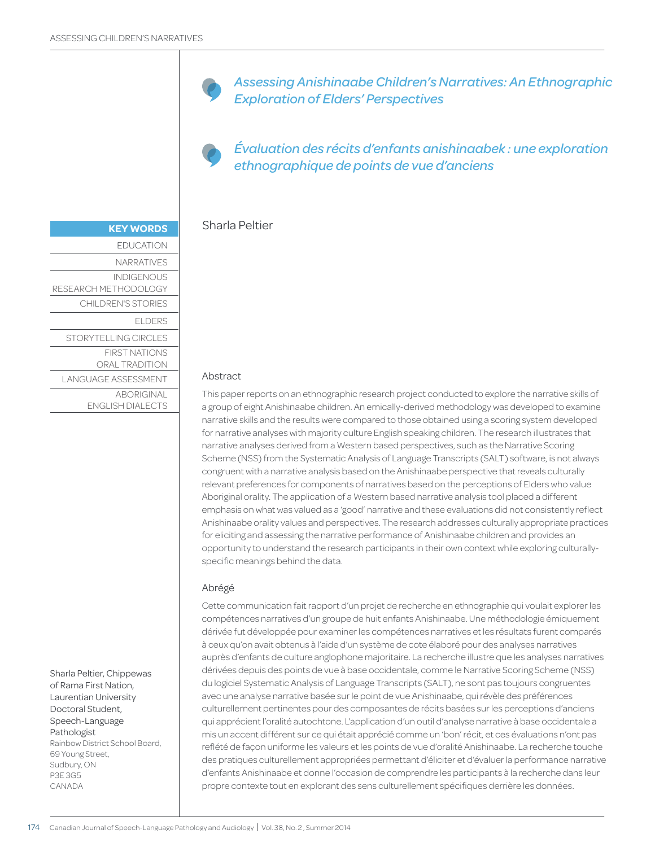*Assessing Anishinaabe Children's Narratives: An Ethnographic Exploration of Elders' Perspectives*

*Évaluation des récits d'enfants anishinaabek : une exploration ethnographique de points de vue d'anciens*

## Sharla Peltier

#### Abstract

This paper reports on an ethnographic research project conducted to explore the narrative skills of a group of eight Anishinaabe children. An emically-derived methodology was developed to examine narrative skills and the results were compared to those obtained using a scoring system developed for narrative analyses with majority culture English speaking children. The research illustrates that narrative analyses derived from a Western based perspectives, such as the Narrative Scoring Scheme (NSS) from the Systematic Analysis of Language Transcripts (SALT) software, is not always congruent with a narrative analysis based on the Anishinaabe perspective that reveals culturally relevant preferences for components of narratives based on the perceptions of Elders who value Aboriginal orality. The application of a Western based narrative analysis tool placed a different emphasis on what was valued as a 'good' narrative and these evaluations did not consistently reflect Anishinaabe orality values and perspectives. The research addresses culturally appropriate practices for eliciting and assessing the narrative performance of Anishinaabe children and provides an opportunity to understand the research participants in their own context while exploring culturallyspecific meanings behind the data.

#### Abrégé

Cette communication fait rapport d'un projet de recherche en ethnographie qui voulait explorer les compétences narratives d'un groupe de huit enfants Anishinaabe. Une méthodologie émiquement dérivée fut développée pour examiner les compétences narratives et les résultats furent comparés à ceux qu'on avait obtenus à l'aide d'un système de cote élaboré pour des analyses narratives auprès d'enfants de culture anglophone majoritaire. La recherche illustre que les analyses narratives dérivées depuis des points de vue à base occidentale, comme le Narrative Scoring Scheme (NSS) du logiciel Systematic Analysis of Language Transcripts (SALT), ne sont pas toujours congruentes avec une analyse narrative basée sur le point de vue Anishinaabe, qui révèle des préférences culturellement pertinentes pour des composantes de récits basées sur les perceptions d'anciens qui apprécient l'oralité autochtone. L'application d'un outil d'analyse narrative à base occidentale a mis un accent différent sur ce qui était apprécié comme un 'bon' récit, et ces évaluations n'ont pas reflété de façon uniforme les valeurs et les points de vue d'oralité Anishinaabe. La recherche touche des pratiques culturellement appropriées permettant d'éliciter et d'évaluer la performance narrative d'enfants Anishinaabe et donne l'occasion de comprendre les participants à la recherche dans leur propre contexte tout en explorant des sens culturellement spécifiques derrière les données.

| <b>KEY WORDS</b>                             |
|----------------------------------------------|
| <b>EDUCATION</b>                             |
| NARRATIVES                                   |
| <b>INDIGENOUS</b><br>RESEARCH METHODOLOGY    |
| CHILDREN'S STORIES                           |
| <b>ELDERS</b>                                |
| STORYTELLING CIRCLES                         |
| <b>FIRST NATIONS</b><br>ORAL TRADITION       |
| LANGUAGE ASSESSMENT                          |
| <b>ABORIGINAL</b><br><b>ENGLISH DIALECTS</b> |
|                                              |

Sharla Peltier, Chippewas of Rama First Nation, Laurentian University Doctoral Student, Speech-Language Pathologist Rainbow District School Board, 69 Young Street, Sudbury, ON P3E 3G5 CANADA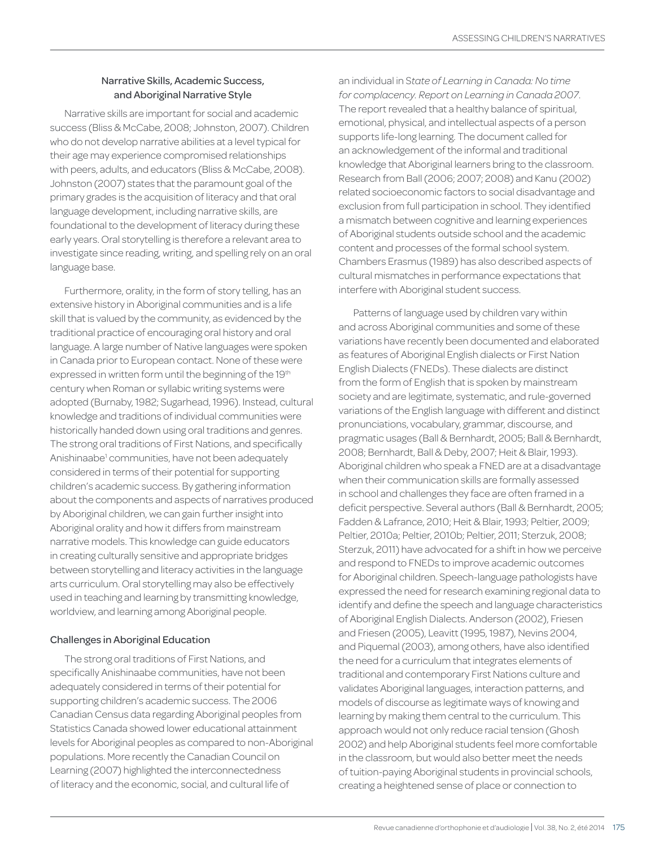# Narrative Skills, Academic Success, and Aboriginal Narrative Style

Narrative skills are important for social and academic success (Bliss & McCabe, 2008; Johnston, 2007). Children who do not develop narrative abilities at a level typical for their age may experience compromised relationships with peers, adults, and educators (Bliss & McCabe, 2008). Johnston (2007) states that the paramount goal of the primary grades is the acquisition of literacy and that oral language development, including narrative skills, are foundational to the development of literacy during these early years. Oral storytelling is therefore a relevant area to investigate since reading, writing, and spelling rely on an oral language base.

Furthermore, orality, in the form of story telling, has an extensive history in Aboriginal communities and is a life skill that is valued by the community, as evidenced by the traditional practice of encouraging oral history and oral language. A large number of Native languages were spoken in Canada prior to European contact. None of these were expressed in written form until the beginning of the 19th century when Roman or syllabic writing systems were adopted (Burnaby, 1982; Sugarhead, 1996). Instead, cultural knowledge and traditions of individual communities were historically handed down using oral traditions and genres. The strong oral traditions of First Nations, and specifically Anishinaabe<sup>1</sup> communities, have not been adequately considered in terms of their potential for supporting children's academic success. By gathering information about the components and aspects of narratives produced by Aboriginal children, we can gain further insight into Aboriginal orality and how it differs from mainstream narrative models. This knowledge can guide educators in creating culturally sensitive and appropriate bridges between storytelling and literacy activities in the language arts curriculum. Oral storytelling may also be effectively used in teaching and learning by transmitting knowledge, worldview, and learning among Aboriginal people.

# Challenges in Aboriginal Education

The strong oral traditions of First Nations, and specifically Anishinaabe communities, have not been adequately considered in terms of their potential for supporting children's academic success. The 2006 Canadian Census data regarding Aboriginal peoples from Statistics Canada showed lower educational attainment levels for Aboriginal peoples as compared to non-Aboriginal populations. More recently the Canadian Council on Learning (2007) highlighted the interconnectedness of literacy and the economic, social, and cultural life of

an individual in S*tate of Learning in Canada: No time for complacency. Report on Learning in Canada 2007*. The report revealed that a healthy balance of spiritual, emotional, physical, and intellectual aspects of a person supports life-long learning. The document called for an acknowledgement of the informal and traditional knowledge that Aboriginal learners bring to the classroom. Research from Ball (2006; 2007; 2008) and Kanu (2002) related socioeconomic factors to social disadvantage and exclusion from full participation in school. They identified a mismatch between cognitive and learning experiences of Aboriginal students outside school and the academic content and processes of the formal school system. Chambers Erasmus (1989) has also described aspects of cultural mismatches in performance expectations that interfere with Aboriginal student success.

Patterns of language used by children vary within and across Aboriginal communities and some of these variations have recently been documented and elaborated as features of Aboriginal English dialects or First Nation English Dialects (FNEDs). These dialects are distinct from the form of English that is spoken by mainstream society and are legitimate, systematic, and rule-governed variations of the English language with different and distinct pronunciations, vocabulary, grammar, discourse, and pragmatic usages (Ball & Bernhardt, 2005; Ball & Bernhardt, 2008; Bernhardt, Ball & Deby, 2007; Heit & Blair, 1993). Aboriginal children who speak a FNED are at a disadvantage when their communication skills are formally assessed in school and challenges they face are often framed in a deficit perspective. Several authors (Ball & Bernhardt, 2005; Fadden & Lafrance, 2010; Heit & Blair, 1993; Peltier, 2009; Peltier, 2010a; Peltier, 2010b; Peltier, 2011; Sterzuk, 2008; Sterzuk, 2011) have advocated for a shift in how we perceive and respond to FNEDs to improve academic outcomes for Aboriginal children. Speech-language pathologists have expressed the need for research examining regional data to identify and define the speech and language characteristics of Aboriginal English Dialects. Anderson (2002), Friesen and Friesen (2005), Leavitt (1995, 1987), Nevins 2004, and Piquemal (2003), among others, have also identified the need for a curriculum that integrates elements of traditional and contemporary First Nations culture and validates Aboriginal languages, interaction patterns, and models of discourse as legitimate ways of knowing and learning by making them central to the curriculum. This approach would not only reduce racial tension (Ghosh 2002) and help Aboriginal students feel more comfortable in the classroom, but would also better meet the needs of tuition-paying Aboriginal students in provincial schools, creating a heightened sense of place or connection to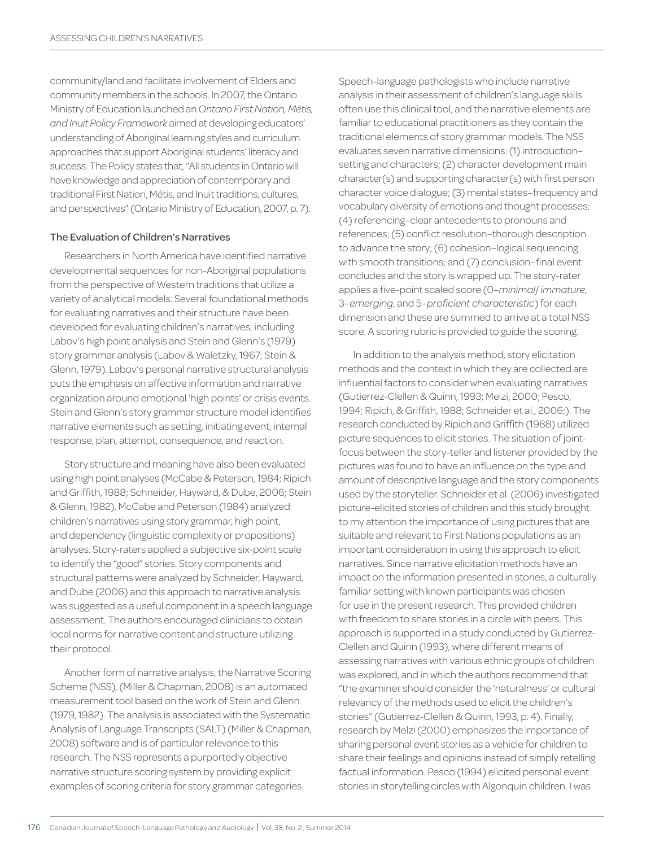community/land and facilitate involvement of Elders and community members in the schools. In 2007, the Ontario Ministry of Education launched an *Ontario First Nation, Métis, and Inuit Policy Framework* aimed at developing educators' understanding of Aboriginal learning styles and curriculum approaches that support Aboriginal students' literacy and success. The Policy states that, "All students in Ontario will have knowledge and appreciation of contemporary and traditional First Nation, Métis, and Inuit traditions, cultures, and perspectives" (Ontario Ministry of Education, 2007, p. 7).

#### The Evaluation of Children's Narratives

Researchers in North America have identified narrative developmental sequences for non-Aboriginal populations from the perspective of Western traditions that utilize a variety of analytical models. Several foundational methods for evaluating narratives and their structure have been developed for evaluating children's narratives, including Labov's high point analysis and Stein and Glenn's (1979) story grammar analysis (Labov & Waletzky, 1967; Stein & Glenn, 1979). Labov's personal narrative structural analysis puts the emphasis on affective information and narrative organization around emotional 'high points' or crisis events. Stein and Glenn's story grammar structure model identifies narrative elements such as setting, initiating event, internal response, plan, attempt, consequence, and reaction.

Story structure and meaning have also been evaluated using high point analyses (McCabe & Peterson, 1984; Ripich and Griffith, 1988; Schneider, Hayward, & Dube, 2006; Stein & Glenn, 1982). McCabe and Peterson (1984) analyzed children's narratives using story grammar, high point, and dependency (linguistic complexity or propositions) analyses. Story-raters applied a subjective six-point scale to identify the "good" stories. Story components and structural patterns were analyzed by Schneider, Hayward, and Dube (2006) and this approach to narrative analysis was suggested as a useful component in a speech language assessment. The authors encouraged clinicians to obtain local norms for narrative content and structure utilizing their protocol.

Another form of narrative analysis, the Narrative Scoring Scheme (NSS), (Miller & Chapman, 2008) is an automated measurement tool based on the work of Stein and Glenn (1979, 1982). The analysis is associated with the Systematic Analysis of Language Transcripts (SALT) (Miller & Chapman, 2008) software and is of particular relevance to this research. The NSS represents a purportedly objective narrative structure scoring system by providing explicit examples of scoring criteria for story grammar categories.

Speech-language pathologists who include narrative analysis in their assessment of children's language skills often use this clinical tool, and the narrative elements are familiar to educational practitioners as they contain the traditional elements of story grammar models. The NSS evaluates seven narrative dimensions: (1) introduction– setting and characters; (2) character development main character(s) and supporting character(s) with first person character voice dialogue; (3) mental states–frequency and vocabulary diversity of emotions and thought processes; (4) referencing–clear antecedents to pronouns and references; (5) conflict resolution–thorough description to advance the story; (6) cohesion–logical sequencing with smooth transitions; and (7) conclusion–final event concludes and the story is wrapped up. The story-rater applies a five-point scaled score (0–*minimal*/ *immature*, 3–*emerging*, and 5–*proficient characteristic*) for each dimension and these are summed to arrive at a total NSS score. A scoring rubric is provided to guide the scoring.

In addition to the analysis method, story elicitation methods and the context in which they are collected are influential factors to consider when evaluating narratives (Gutierrez-Clellen & Quinn, 1993; Melzi, 2000; Pesco, 1994; Ripich, & Griffith, 1988; Schneider et al., 2006;). The research conducted by Ripich and Griffith (1988) utilized picture sequences to elicit stories. The situation of jointfocus between the story-teller and listener provided by the pictures was found to have an influence on the type and amount of descriptive language and the story components used by the storyteller. Schneider et al. (2006) investigated picture-elicited stories of children and this study brought to my attention the importance of using pictures that are suitable and relevant to First Nations populations as an important consideration in using this approach to elicit narratives. Since narrative elicitation methods have an impact on the information presented in stories, a culturally familiar setting with known participants was chosen for use in the present research. This provided children with freedom to share stories in a circle with peers. This approach is supported in a study conducted by Gutierrez-Clellen and Quinn (1993), where different means of assessing narratives with various ethnic groups of children was explored, and in which the authors recommend that "the examiner should consider the 'naturalness' or cultural relevancy of the methods used to elicit the children's stories" (Gutierrez-Clellen & Quinn, 1993, p. 4). Finally, research by Melzi (2000) emphasizes the importance of sharing personal event stories as a vehicle for children to share their feelings and opinions instead of simply retelling factual information. Pesco (1994) elicited personal event stories in storytelling circles with Algonquin children. I was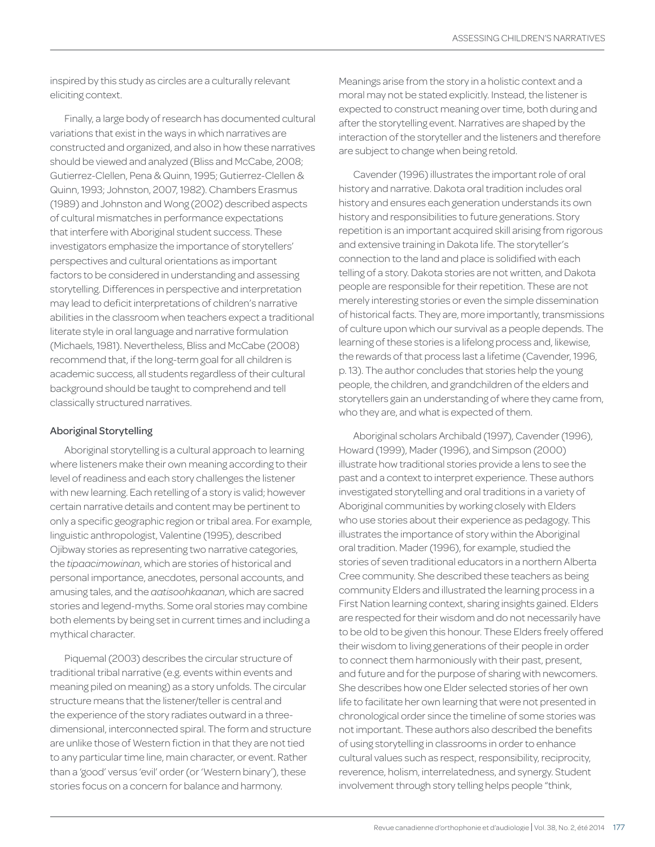inspired by this study as circles are a culturally relevant eliciting context.

Finally, a large body of research has documented cultural variations that exist in the ways in which narratives are constructed and organized, and also in how these narratives should be viewed and analyzed (Bliss and McCabe, 2008; Gutierrez-Clellen, Pena & Quinn, 1995; Gutierrez-Clellen & Quinn, 1993; Johnston, 2007, 1982). Chambers Erasmus (1989) and Johnston and Wong (2002) described aspects of cultural mismatches in performance expectations that interfere with Aboriginal student success. These investigators emphasize the importance of storytellers' perspectives and cultural orientations as important factors to be considered in understanding and assessing storytelling. Differences in perspective and interpretation may lead to deficit interpretations of children's narrative abilities in the classroom when teachers expect a traditional literate style in oral language and narrative formulation (Michaels, 1981). Nevertheless, Bliss and McCabe (2008) recommend that, if the long-term goal for all children is academic success, all students regardless of their cultural background should be taught to comprehend and tell classically structured narratives.

## Aboriginal Storytelling

Aboriginal storytelling is a cultural approach to learning where listeners make their own meaning according to their level of readiness and each story challenges the listener with new learning. Each retelling of a story is valid; however certain narrative details and content may be pertinent to only a specific geographic region or tribal area. For example, linguistic anthropologist, Valentine (1995), described Ojibway stories as representing two narrative categories, the *tipaacimowinan*, which are stories of historical and personal importance, anecdotes, personal accounts, and amusing tales, and the *aatisoohkaanan*, which are sacred stories and legend-myths. Some oral stories may combine both elements by being set in current times and including a mythical character.

Piquemal (2003) describes the circular structure of traditional tribal narrative (e.g. events within events and meaning piled on meaning) as a story unfolds. The circular structure means that the listener/teller is central and the experience of the story radiates outward in a threedimensional, interconnected spiral. The form and structure are unlike those of Western fiction in that they are not tied to any particular time line, main character, or event. Rather than a 'good' versus 'evil' order (or 'Western binary'), these stories focus on a concern for balance and harmony.

Meanings arise from the story in a holistic context and a moral may not be stated explicitly. Instead, the listener is expected to construct meaning over time, both during and after the storytelling event. Narratives are shaped by the interaction of the storyteller and the listeners and therefore are subject to change when being retold.

Cavender (1996) illustrates the important role of oral history and narrative. Dakota oral tradition includes oral history and ensures each generation understands its own history and responsibilities to future generations. Story repetition is an important acquired skill arising from rigorous and extensive training in Dakota life. The storyteller's connection to the land and place is solidified with each telling of a story. Dakota stories are not written, and Dakota people are responsible for their repetition. These are not merely interesting stories or even the simple dissemination of historical facts. They are, more importantly, transmissions of culture upon which our survival as a people depends. The learning of these stories is a lifelong process and, likewise, the rewards of that process last a lifetime (Cavender, 1996, p. 13). The author concludes that stories help the young people, the children, and grandchildren of the elders and storytellers gain an understanding of where they came from, who they are, and what is expected of them.

Aboriginal scholars Archibald (1997), Cavender (1996), Howard (1999), Mader (1996), and Simpson (2000) illustrate how traditional stories provide a lens to see the past and a context to interpret experience. These authors investigated storytelling and oral traditions in a variety of Aboriginal communities by working closely with Elders who use stories about their experience as pedagogy. This illustrates the importance of story within the Aboriginal oral tradition. Mader (1996), for example, studied the stories of seven traditional educators in a northern Alberta Cree community. She described these teachers as being community Elders and illustrated the learning process in a First Nation learning context, sharing insights gained. Elders are respected for their wisdom and do not necessarily have to be old to be given this honour. These Elders freely offered their wisdom to living generations of their people in order to connect them harmoniously with their past, present, and future and for the purpose of sharing with newcomers. She describes how one Elder selected stories of her own life to facilitate her own learning that were not presented in chronological order since the timeline of some stories was not important. These authors also described the benefits of using storytelling in classrooms in order to enhance cultural values such as respect, responsibility, reciprocity, reverence, holism, interrelatedness, and synergy. Student involvement through story telling helps people "think,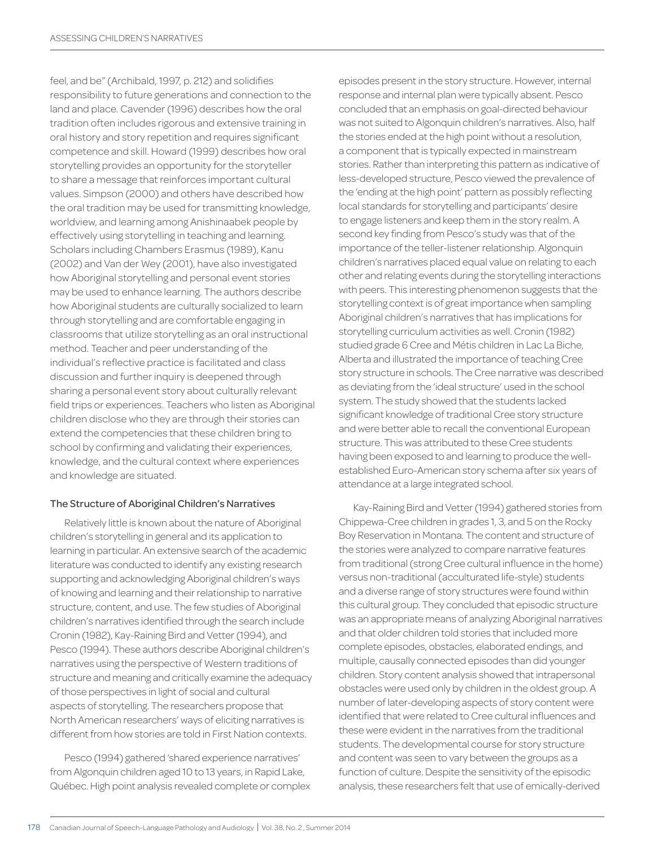feel, and be" (Archibald, 1997, p. 212) and solidifies responsibility to future generations and connection to the land and place. Cavender (1996) describes how the oral tradition often includes rigorous and extensive training in oral history and story repetition and requires significant competence and skill. Howard (1999) describes how oral storytelling provides an opportunity for the storyteller to share a message that reinforces important cultural values. Simpson (2000) and others have described how the oral tradition may be used for transmitting knowledge, worldview, and learning among Anishinaabek people by effectively using storytelling in teaching and learning. Scholars including Chambers Erasmus (1989), Kanu (2002) and Van der Wey (2001), have also investigated how Aboriginal storytelling and personal event stories may be used to enhance learning. The authors describe how Aboriginal students are culturally socialized to learn through storytelling and are comfortable engaging in classrooms that utilize storytelling as an oral instructional method. Teacher and peer understanding of the individual's reflective practice is facilitated and class discussion and further inquiry is deepened through sharing a personal event story about culturally relevant field trips or experiences. Teachers who listen as Aboriginal children disclose who they are through their stories can extend the competencies that these children bring to school by confirming and validating their experiences, knowledge, and the cultural context where experiences and knowledge are situated.

### The Structure of Aboriginal Children's Narratives

Relatively little is known about the nature of Aboriginal children's storytelling in general and its application to learning in particular. An extensive search of the academic literature was conducted to identify any existing research supporting and acknowledging Aboriginal children's ways of knowing and learning and their relationship to narrative structure, content, and use. The few studies of Aboriginal children's narratives identified through the search include Cronin (1982), Kay-Raining Bird and Vetter (1994), and Pesco (1994). These authors describe Aboriginal children's narratives using the perspective of Western traditions of structure and meaning and critically examine the adequacy of those perspectives in light of social and cultural aspects of storytelling. The researchers propose that North American researchers' ways of eliciting narratives is different from how stories are told in First Nation contexts.

Pesco (1994) gathered 'shared experience narratives' from Algonquin children aged 10 to 13 years, in Rapid Lake, Québec. High point analysis revealed complete or complex episodes present in the story structure. However, internal response and internal plan were typically absent. Pesco concluded that an emphasis on goal-directed behaviour was not suited to Algonquin children's narratives. Also, half the stories ended at the high point without a resolution, a component that is typically expected in mainstream stories. Rather than interpreting this pattern as indicative of less-developed structure, Pesco viewed the prevalence of the 'ending at the high point' pattern as possibly reflecting local standards for storytelling and participants' desire to engage listeners and keep them in the story realm. A second key finding from Pesco's study was that of the importance of the teller-listener relationship. Algonquin children's narratives placed equal value on relating to each other and relating events during the storytelling interactions with peers. This interesting phenomenon suggests that the storytelling context is of great importance when sampling Aboriginal children's narratives that has implications for storytelling curriculum activities as well. Cronin (1982) studied grade 6 Cree and Métis children in Lac La Biche, Alberta and illustrated the importance of teaching Cree story structure in schools. The Cree narrative was described as deviating from the 'ideal structure' used in the school system. The study showed that the students lacked significant knowledge of traditional Cree story structure and were better able to recall the conventional European structure. This was attributed to these Cree students having been exposed to and learning to produce the wellestablished Euro-American story schema after six years of attendance at a large integrated school.

Kay-Raining Bird and Vetter (1994) gathered stories from Chippewa-Cree children in grades 1, 3, and 5 on the Rocky Boy Reservation in Montana. The content and structure of the stories were analyzed to compare narrative features from traditional (strong Cree cultural influence in the home) versus non-traditional (acculturated life-style) students and a diverse range of story structures were found within this cultural group. They concluded that episodic structure was an appropriate means of analyzing Aboriginal narratives and that older children told stories that included more complete episodes, obstacles, elaborated endings, and multiple, causally connected episodes than did younger children. Story content analysis showed that intrapersonal obstacles were used only by children in the oldest group. A number of later-developing aspects of story content were identified that were related to Cree cultural influences and these were evident in the narratives from the traditional students. The developmental course for story structure and content was seen to vary between the groups as a function of culture. Despite the sensitivity of the episodic analysis, these researchers felt that use of emically-derived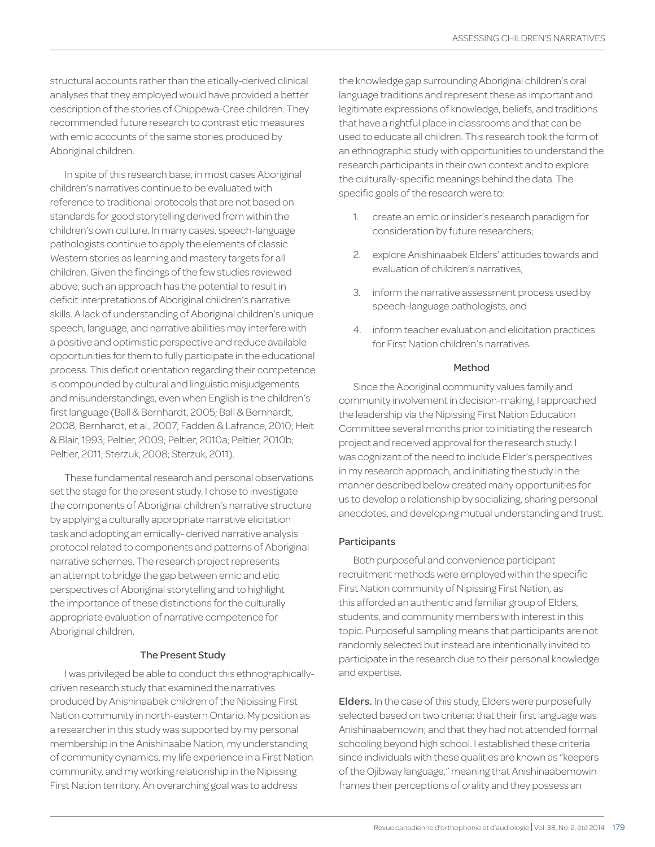structural accounts rather than the etically-derived clinical analyses that they employed would have provided a better description of the stories of Chippewa-Cree children. They recommended future research to contrast etic measures with emic accounts of the same stories produced by Aboriginal children.

In spite of this research base, in most cases Aboriginal children's narratives continue to be evaluated with reference to traditional protocols that are not based on standards for good storytelling derived from within the children's own culture. In many cases, speech-language pathologists continue to apply the elements of classic Western stories as learning and mastery targets for all children. Given the findings of the few studies reviewed above, such an approach has the potential to result in deficit interpretations of Aboriginal children's narrative skills. A lack of understanding of Aboriginal children's unique speech, language, and narrative abilities may interfere with a positive and optimistic perspective and reduce available opportunities for them to fully participate in the educational process. This deficit orientation regarding their competence is compounded by cultural and linguistic misjudgements and misunderstandings, even when English is the children's first language (Ball & Bernhardt, 2005; Ball & Bernhardt, 2008; Bernhardt, et al., 2007; Fadden & Lafrance, 2010; Heit & Blair, 1993; Peltier, 2009; Peltier, 2010a; Peltier, 2010b; Peltier, 2011; Sterzuk, 2008; Sterzuk, 2011).

These fundamental research and personal observations set the stage for the present study. I chose to investigate the components of Aboriginal children's narrative structure by applying a culturally appropriate narrative elicitation task and adopting an emically- derived narrative analysis protocol related to components and patterns of Aboriginal narrative schemes. The research project represents an attempt to bridge the gap between emic and etic perspectives of Aboriginal storytelling and to highlight the importance of these distinctions for the culturally appropriate evaluation of narrative competence for Aboriginal children.

### The Present Study

I was privileged be able to conduct this ethnographicallydriven research study that examined the narratives produced by Anishinaabek children of the Nipissing First Nation community in north-eastern Ontario. My position as a researcher in this study was supported by my personal membership in the Anishinaabe Nation, my understanding of community dynamics, my life experience in a First Nation community, and my working relationship in the Nipissing First Nation territory. An overarching goal was to address

the knowledge gap surrounding Aboriginal children's oral language traditions and represent these as important and legitimate expressions of knowledge, beliefs, and traditions that have a rightful place in classrooms and that can be used to educate all children. This research took the form of an ethnographic study with opportunities to understand the research participants in their own context and to explore the culturally-specific meanings behind the data. The specific goals of the research were to:

- 1. create an emic or insider's research paradigm for consideration by future researchers;
- 2. explore Anishinaabek Elders' attitudes towards and evaluation of children's narratives;
- 3. inform the narrative assessment process used by speech-language pathologists, and
- 4. inform teacher evaluation and elicitation practices for First Nation children's narratives.

### Method

Since the Aboriginal community values family and community involvement in decision-making, I approached the leadership via the Nipissing First Nation Education Committee several months prior to initiating the research project and received approval for the research study. I was cognizant of the need to include Elder's perspectives in my research approach, and initiating the study in the manner described below created many opportunities for us to develop a relationship by socializing, sharing personal anecdotes, and developing mutual understanding and trust.

## Participants

Both purposeful and convenience participant recruitment methods were employed within the specific First Nation community of Nipissing First Nation, as this afforded an authentic and familiar group of Elders, students, and community members with interest in this topic. Purposeful sampling means that participants are not randomly selected but instead are intentionally invited to participate in the research due to their personal knowledge and expertise.

Elders. In the case of this study, Elders were purposefully selected based on two criteria: that their first language was Anishinaabemowin; and that they had not attended formal schooling beyond high school. I established these criteria since individuals with these qualities are known as "keepers of the Ojibway language," meaning that Anishinaabemowin frames their perceptions of orality and they possess an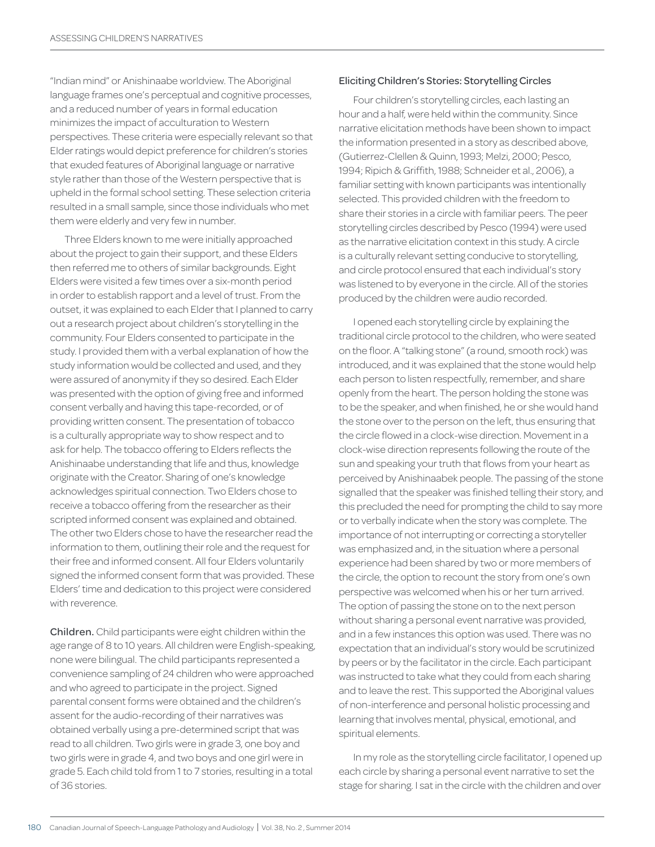"Indian mind" or Anishinaabe worldview. The Aboriginal language frames one's perceptual and cognitive processes, and a reduced number of years in formal education minimizes the impact of acculturation to Western perspectives. These criteria were especially relevant so that Elder ratings would depict preference for children's stories that exuded features of Aboriginal language or narrative style rather than those of the Western perspective that is upheld in the formal school setting. These selection criteria resulted in a small sample, since those individuals who met them were elderly and very few in number.

Three Elders known to me were initially approached about the project to gain their support, and these Elders then referred me to others of similar backgrounds. Eight Elders were visited a few times over a six-month period in order to establish rapport and a level of trust. From the outset, it was explained to each Elder that I planned to carry out a research project about children's storytelling in the community. Four Elders consented to participate in the study. I provided them with a verbal explanation of how the study information would be collected and used, and they were assured of anonymity if they so desired. Each Elder was presented with the option of giving free and informed consent verbally and having this tape-recorded, or of providing written consent. The presentation of tobacco is a culturally appropriate way to show respect and to ask for help. The tobacco offering to Elders reflects the Anishinaabe understanding that life and thus, knowledge originate with the Creator. Sharing of one's knowledge acknowledges spiritual connection. Two Elders chose to receive a tobacco offering from the researcher as their scripted informed consent was explained and obtained. The other two Elders chose to have the researcher read the information to them, outlining their role and the request for their free and informed consent. All four Elders voluntarily signed the informed consent form that was provided. These Elders' time and dedication to this project were considered with reverence.

Children. Child participants were eight children within the age range of 8 to 10 years. All children were English-speaking, none were bilingual. The child participants represented a convenience sampling of 24 children who were approached and who agreed to participate in the project. Signed parental consent forms were obtained and the children's assent for the audio-recording of their narratives was obtained verbally using a pre-determined script that was read to all children. Two girls were in grade 3, one boy and two girls were in grade 4, and two boys and one girl were in grade 5. Each child told from 1 to 7 stories, resulting in a total of 36 stories.

#### Eliciting Children's Stories: Storytelling Circles

Four children's storytelling circles, each lasting an hour and a half, were held within the community. Since narrative elicitation methods have been shown to impact the information presented in a story as described above, (Gutierrez-Clellen & Quinn, 1993; Melzi, 2000; Pesco, 1994; Ripich & Griffith, 1988; Schneider et al., 2006), a familiar setting with known participants was intentionally selected. This provided children with the freedom to share their stories in a circle with familiar peers. The peer storytelling circles described by Pesco (1994) were used as the narrative elicitation context in this study. A circle is a culturally relevant setting conducive to storytelling, and circle protocol ensured that each individual's story was listened to by everyone in the circle. All of the stories produced by the children were audio recorded.

I opened each storytelling circle by explaining the traditional circle protocol to the children, who were seated on the floor. A "talking stone" (a round, smooth rock) was introduced, and it was explained that the stone would help each person to listen respectfully, remember, and share openly from the heart. The person holding the stone was to be the speaker, and when finished, he or she would hand the stone over to the person on the left, thus ensuring that the circle flowed in a clock-wise direction. Movement in a clock-wise direction represents following the route of the sun and speaking your truth that flows from your heart as perceived by Anishinaabek people. The passing of the stone signalled that the speaker was finished telling their story, and this precluded the need for prompting the child to say more or to verbally indicate when the story was complete. The importance of not interrupting or correcting a storyteller was emphasized and, in the situation where a personal experience had been shared by two or more members of the circle, the option to recount the story from one's own perspective was welcomed when his or her turn arrived. The option of passing the stone on to the next person without sharing a personal event narrative was provided, and in a few instances this option was used. There was no expectation that an individual's story would be scrutinized by peers or by the facilitator in the circle. Each participant was instructed to take what they could from each sharing and to leave the rest. This supported the Aboriginal values of non-interference and personal holistic processing and learning that involves mental, physical, emotional, and spiritual elements.

In my role as the storytelling circle facilitator, I opened up each circle by sharing a personal event narrative to set the stage for sharing. I sat in the circle with the children and over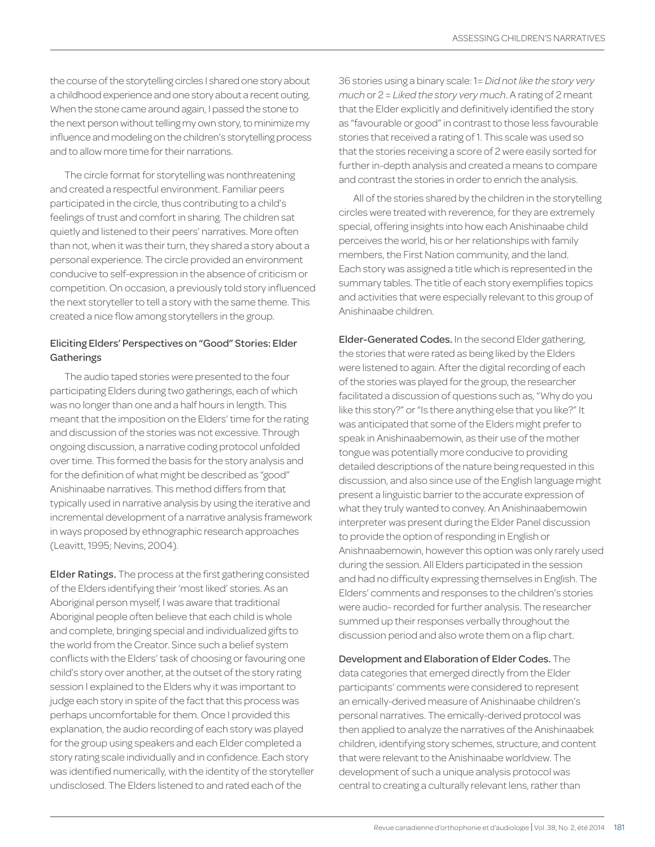the course of the storytelling circles I shared one story about a childhood experience and one story about a recent outing. When the stone came around again, I passed the stone to the next person without telling my own story, to minimize my influence and modeling on the children's storytelling process and to allow more time for their narrations.

The circle format for storytelling was nonthreatening and created a respectful environment. Familiar peers participated in the circle, thus contributing to a child's feelings of trust and comfort in sharing. The children sat quietly and listened to their peers' narratives. More often than not, when it was their turn, they shared a story about a personal experience. The circle provided an environment conducive to self-expression in the absence of criticism or competition. On occasion, a previously told story influenced the next storyteller to tell a story with the same theme. This created a nice flow among storytellers in the group.

# Eliciting Elders' Perspectives on "Good" Stories: Elder **Gatherings**

The audio taped stories were presented to the four participating Elders during two gatherings, each of which was no longer than one and a half hours in length. This meant that the imposition on the Elders' time for the rating and discussion of the stories was not excessive. Through ongoing discussion, a narrative coding protocol unfolded over time. This formed the basis for the story analysis and for the definition of what might be described as "good" Anishinaabe narratives. This method differs from that typically used in narrative analysis by using the iterative and incremental development of a narrative analysis framework in ways proposed by ethnographic research approaches (Leavitt, 1995; Nevins, 2004).

Elder Ratings. The process at the first gathering consisted of the Elders identifying their 'most liked' stories. As an Aboriginal person myself, I was aware that traditional Aboriginal people often believe that each child is whole and complete, bringing special and individualized gifts to the world from the Creator. Since such a belief system conflicts with the Elders' task of choosing or favouring one child's story over another, at the outset of the story rating session I explained to the Elders why it was important to judge each story in spite of the fact that this process was perhaps uncomfortable for them. Once I provided this explanation, the audio recording of each story was played for the group using speakers and each Elder completed a story rating scale individually and in confidence. Each story was identified numerically, with the identity of the storyteller undisclosed. The Elders listened to and rated each of the

36 stories using a binary scale: 1= *Did not like the story very much* or 2 = *Liked the story very much*. A rating of 2 meant that the Elder explicitly and definitively identified the story as "favourable or good" in contrast to those less favourable stories that received a rating of 1. This scale was used so that the stories receiving a score of 2 were easily sorted for further in-depth analysis and created a means to compare and contrast the stories in order to enrich the analysis.

All of the stories shared by the children in the storytelling circles were treated with reverence, for they are extremely special, offering insights into how each Anishinaabe child perceives the world, his or her relationships with family members, the First Nation community, and the land. Each story was assigned a title which is represented in the summary tables. The title of each story exemplifies topics and activities that were especially relevant to this group of Anishinaabe children.

Elder-Generated Codes. In the second Elder gathering, the stories that were rated as being liked by the Elders were listened to again. After the digital recording of each of the stories was played for the group, the researcher facilitated a discussion of questions such as, "Why do you like this story?" or "Is there anything else that you like?" It was anticipated that some of the Elders might prefer to speak in Anishinaabemowin, as their use of the mother tongue was potentially more conducive to providing detailed descriptions of the nature being requested in this discussion, and also since use of the English language might present a linguistic barrier to the accurate expression of what they truly wanted to convey. An Anishinaabemowin interpreter was present during the Elder Panel discussion to provide the option of responding in English or Anishnaabemowin, however this option was only rarely used during the session. All Elders participated in the session and had no difficulty expressing themselves in English. The Elders' comments and responses to the children's stories were audio- recorded for further analysis. The researcher summed up their responses verbally throughout the discussion period and also wrote them on a flip chart.

Development and Elaboration of Elder Codes. The data categories that emerged directly from the Elder participants' comments were considered to represent an emically-derived measure of Anishinaabe children's personal narratives. The emically-derived protocol was then applied to analyze the narratives of the Anishinaabek children, identifying story schemes, structure, and content that were relevant to the Anishinaabe worldview. The development of such a unique analysis protocol was central to creating a culturally relevant lens, rather than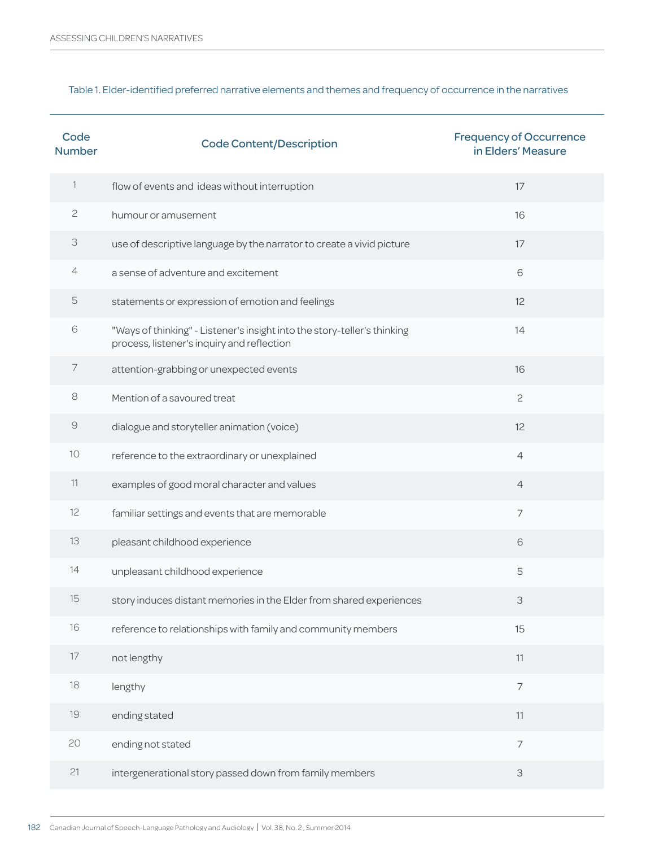# Table 1. Elder-identified preferred narrative elements and themes and frequency of occurrence in the narratives

| Code<br><b>Number</b>     | <b>Code Content/Description</b>                                                                                        | <b>Frequency of Occurrence</b><br>in Elders' Measure |
|---------------------------|------------------------------------------------------------------------------------------------------------------------|------------------------------------------------------|
| $\mathbb{1}$              | flow of events and ideas without interruption                                                                          | 17                                                   |
| $\sqrt{2}$                | humour or amusement                                                                                                    | 16                                                   |
| $\ensuremath{\mathsf{3}}$ | use of descriptive language by the narrator to create a vivid picture                                                  | 17                                                   |
| $\overline{4}$            | a sense of adventure and excitement                                                                                    | 6                                                    |
| $\mathsf S$               | statements or expression of emotion and feelings                                                                       | 12                                                   |
| 6                         | "Ways of thinking" - Listener's insight into the story-teller's thinking<br>process, listener's inquiry and reflection | 14                                                   |
| $\overline{7}$            | attention-grabbing or unexpected events                                                                                | 16                                                   |
| $\,8\,$                   | Mention of a savoured treat                                                                                            | $\mathbf{c}$                                         |
| $\Theta$                  | dialogue and storyteller animation (voice)                                                                             | 12                                                   |
| 10                        | reference to the extraordinary or unexplained                                                                          | $\overline{4}$                                       |
| 11                        | examples of good moral character and values                                                                            | $\overline{4}$                                       |
| 12                        | familiar settings and events that are memorable                                                                        | $\overline{7}$                                       |
| 13                        | pleasant childhood experience                                                                                          | 6                                                    |
| 14                        | unpleasant childhood experience                                                                                        | 5                                                    |
| 15                        | story induces distant memories in the Elder from shared experiences                                                    | 3                                                    |
| 16                        | reference to relationships with family and community members                                                           | 15                                                   |
| $17\,$                    | not lengthy                                                                                                            | 11                                                   |
| $18\,$                    | lengthy                                                                                                                | $\overline{\phantom{a}}$                             |
| $19$                      | ending stated                                                                                                          | 11                                                   |
| 20                        | ending not stated                                                                                                      | $\overline{7}$                                       |
| 21                        | intergenerational story passed down from family members                                                                | 3                                                    |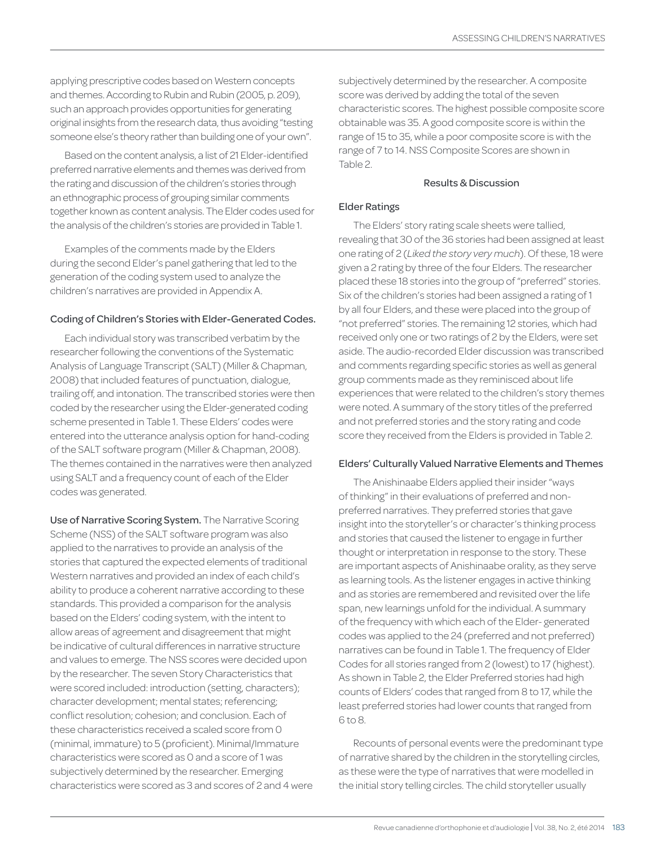applying prescriptive codes based on Western concepts and themes. According to Rubin and Rubin (2005, p. 209), such an approach provides opportunities for generating original insights from the research data, thus avoiding "testing someone else's theory rather than building one of your own".

Based on the content analysis, a list of 21 Elder-identified preferred narrative elements and themes was derived from the rating and discussion of the children's stories through an ethnographic process of grouping similar comments together known as content analysis. The Elder codes used for the analysis of the children's stories are provided in Table 1.

Examples of the comments made by the Elders during the second Elder's panel gathering that led to the generation of the coding system used to analyze the children's narratives are provided in Appendix A.

## Coding of Children's Stories with Elder-Generated Codes.

Each individual story was transcribed verbatim by the researcher following the conventions of the Systematic Analysis of Language Transcript (SALT) (Miller & Chapman, 2008) that included features of punctuation, dialogue, trailing off, and intonation. The transcribed stories were then coded by the researcher using the Elder-generated coding scheme presented in Table 1. These Elders' codes were entered into the utterance analysis option for hand-coding of the SALT software program (Miller & Chapman, 2008). The themes contained in the narratives were then analyzed using SALT and a frequency count of each of the Elder codes was generated.

Use of Narrative Scoring System. The Narrative Scoring Scheme (NSS) of the SALT software program was also applied to the narratives to provide an analysis of the stories that captured the expected elements of traditional Western narratives and provided an index of each child's ability to produce a coherent narrative according to these standards. This provided a comparison for the analysis based on the Elders' coding system, with the intent to allow areas of agreement and disagreement that might be indicative of cultural differences in narrative structure and values to emerge. The NSS scores were decided upon by the researcher. The seven Story Characteristics that were scored included: introduction (setting, characters); character development; mental states; referencing; conflict resolution; cohesion; and conclusion. Each of these characteristics received a scaled score from 0 (minimal, immature) to 5 (proficient). Minimal/Immature characteristics were scored as 0 and a score of 1 was subjectively determined by the researcher. Emerging characteristics were scored as 3 and scores of 2 and 4 were subjectively determined by the researcher. A composite score was derived by adding the total of the seven characteristic scores. The highest possible composite score obtainable was 35. A good composite score is within the range of 15 to 35, while a poor composite score is with the range of 7 to 14. NSS Composite Scores are shown in Table 2.

## Results & Discussion

## Elder Ratings

The Elders' story rating scale sheets were tallied, revealing that 30 of the 36 stories had been assigned at least one rating of 2 (*Liked the story very much*). Of these, 18 were given a 2 rating by three of the four Elders. The researcher placed these 18 stories into the group of "preferred" stories. Six of the children's stories had been assigned a rating of 1 by all four Elders, and these were placed into the group of "not preferred" stories. The remaining 12 stories, which had received only one or two ratings of 2 by the Elders, were set aside. The audio-recorded Elder discussion was transcribed and comments regarding specific stories as well as general group comments made as they reminisced about life experiences that were related to the children's story themes were noted. A summary of the story titles of the preferred and not preferred stories and the story rating and code score they received from the Elders is provided in Table 2.

## Elders' Culturally Valued Narrative Elements and Themes

The Anishinaabe Elders applied their insider "ways of thinking" in their evaluations of preferred and nonpreferred narratives. They preferred stories that gave insight into the storyteller's or character's thinking process and stories that caused the listener to engage in further thought or interpretation in response to the story. These are important aspects of Anishinaabe orality, as they serve as learning tools. As the listener engages in active thinking and as stories are remembered and revisited over the life span, new learnings unfold for the individual. A summary of the frequency with which each of the Elder- generated codes was applied to the 24 (preferred and not preferred) narratives can be found in Table 1. The frequency of Elder Codes for all stories ranged from 2 (lowest) to 17 (highest). As shown in Table 2, the Elder Preferred stories had high counts of Elders' codes that ranged from 8 to 17, while the least preferred stories had lower counts that ranged from 6 to 8.

Recounts of personal events were the predominant type of narrative shared by the children in the storytelling circles, as these were the type of narratives that were modelled in the initial story telling circles. The child storyteller usually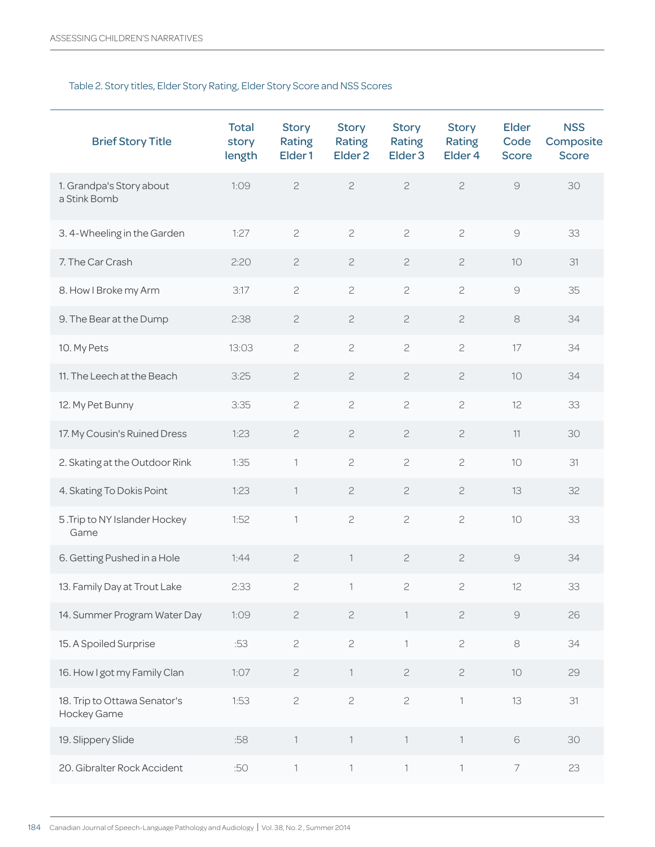# Table 2. Story titles, Elder Story Rating, Elder Story Score and NSS Scores

| <b>Brief Story Title</b>                    | <b>Total</b><br>story<br>length | <b>Story</b><br><b>Rating</b><br>Elder <sub>1</sub> | <b>Story</b><br><b>Rating</b><br>Elder <sub>2</sub> | <b>Story</b><br>Rating<br>Elder <sub>3</sub> | <b>Story</b><br>Rating<br>Elder <sub>4</sub> | <b>Elder</b><br>Code<br><b>Score</b> | <b>NSS</b><br>Composite<br><b>Score</b> |
|---------------------------------------------|---------------------------------|-----------------------------------------------------|-----------------------------------------------------|----------------------------------------------|----------------------------------------------|--------------------------------------|-----------------------------------------|
| 1. Grandpa's Story about<br>a Stink Bomb    | 1:09                            | $\mathbf{C}$                                        | $\mathbf{C}$                                        | $\overline{c}$                               | $\mathbf{2}$                                 | $\Theta$                             | 30                                      |
| 3.4-Wheeling in the Garden                  | 1:27                            | $\overline{c}$                                      | $\mathbf{C}$                                        | $\overline{c}$                               | $\mathbf{C}$                                 | $\mathcal{G}$                        | 33                                      |
| 7. The Car Crash                            | 2:20                            | $\mathbf{2}$                                        | $\mathbf{S}$                                        | $\mathbf{S}$                                 | $\mathbf{2}$                                 | 10                                   | 31                                      |
| 8. How I Broke my Arm                       | 3:17                            | $\mathbf{C}$                                        | $\mathbf{C}$                                        | $\overline{c}$                               | $\mathbf{C}$                                 | $\Theta$                             | 35                                      |
| 9. The Bear at the Dump                     | 2:38                            | $\mathbf{2}$                                        | $\mathbf{S}$                                        | $\overline{c}$                               | $\sqrt{2}$                                   | $\,8\,$                              | 34                                      |
| 10. My Pets                                 | 13:03                           | $\mathbf{C}$                                        | $\mathbf{C}$                                        | $\mathbf{C}$                                 | $\mathbf{C}$                                 | 17                                   | 34                                      |
| 11. The Leech at the Beach                  | 3:25                            | $\mathbf{2}$                                        | $\mathbf{2}$                                        | $\mathbf{2}$                                 | $\mathbf{2}$                                 | 10                                   | 34                                      |
| 12. My Pet Bunny                            | 3:35                            | $\mathbf{2}$                                        | $\mathbf{C}$                                        | $\mathbf{C}$                                 | $\mathbf{C}$                                 | 12                                   | 33                                      |
| 17. My Cousin's Ruined Dress                | 1:23                            | $\mathbf{2}$                                        | $\mathbf{C}$                                        | $\mathbf{C}$                                 | $\sqrt{2}$                                   | 11                                   | 30                                      |
| 2. Skating at the Outdoor Rink              | 1:35                            | $\mathbb{1}$                                        | $\overline{c}$                                      | $\overline{c}$                               | $\overline{c}$                               | 10                                   | 31                                      |
| 4. Skating To Dokis Point                   | 1:23                            | $\overline{1}$                                      | $\mathbf{2}$                                        | $\mathbf{2}$                                 | $\sqrt{2}$                                   | 13                                   | 32                                      |
| 5. Trip to NY Islander Hockey<br>Game       | 1:52                            | $\mathbb{1}$                                        | $\mathbf{S}$                                        | $\mathbf{C}$                                 | $\mathsf{S}$                                 | 10                                   | 33                                      |
| 6. Getting Pushed in a Hole                 | 1:44                            | $\mathbf{2}$                                        | $\mathbb{1}$                                        | $\mathbf{2}$                                 | $\mathbf{2}$                                 | $\Theta$                             | 34                                      |
| 13. Family Day at Trout Lake                | 2:33                            | $\sqrt{2}$                                          | 1                                                   | $\sqrt{2}$                                   | $\mathbf{Z}$                                 | 12                                   | 33                                      |
| 14. Summer Program Water Day                | 1:09                            | $\mathbf{2}$                                        | $\overline{c}$                                      | $\mathbb{1}$                                 | $\mathbf{2}$                                 | $\Theta$                             | 26                                      |
| 15. A Spoiled Surprise                      | :53                             | $\mathbf{C}$                                        | $\mathbf{C}$                                        | $\mathbb{I}$                                 | $\mathbf{2}$                                 | $\rm 8$                              | 34                                      |
| 16. How I got my Family Clan                | 1:07                            | $\mathbf{S}$                                        | $\mathbb{1}$                                        | $\mathfrak{S}$                               | $\sqrt{2}$                                   | 10                                   | 29                                      |
| 18. Trip to Ottawa Senator's<br>Hockey Game | 1:53                            | $\mathbf{C}$                                        | $\mathbf{C}$                                        | $\overline{c}$                               | $\ensuremath{\mathsf{I}}$                    | 13                                   | 31                                      |
| 19. Slippery Slide                          | :58                             | $\ensuremath{\mathsf{I}}$                           | $\ensuremath{\mathsf{I}}$                           | $\ensuremath{\mathsf{I}}$                    | $\ensuremath{\mathsf{1}}$                    | $\mathsf{6}$                         | 30                                      |
| 20. Gibralter Rock Accident                 | :50                             | $\ensuremath{\mathsf{I}}$                           | $\mathbb{1}$                                        | $\mathbb{1}$                                 | $\mathbb{1}$                                 | $\overline{7}$                       | 23                                      |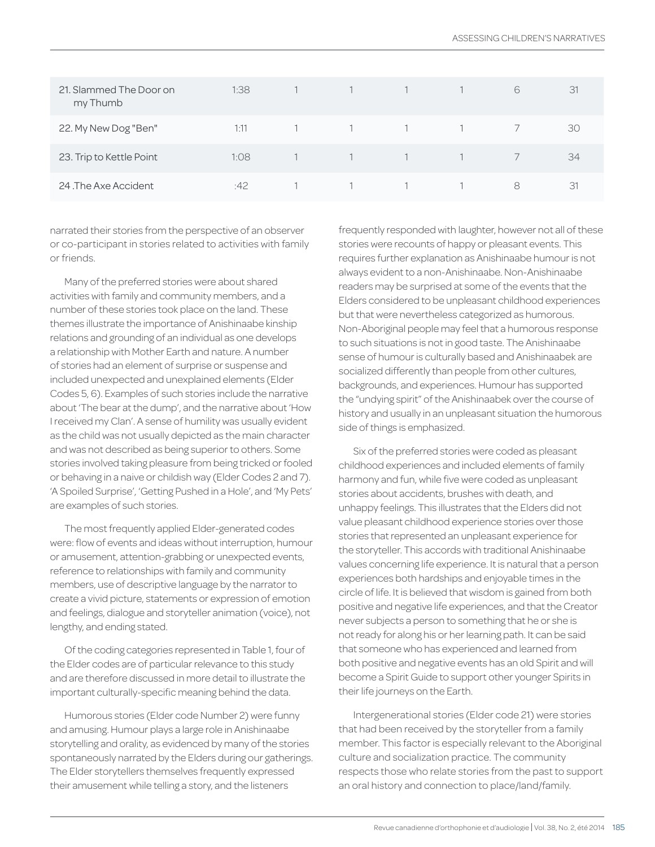| 21. Slammed The Door on<br>my Thumb | 1:38 |   |  | 6 | 31 |
|-------------------------------------|------|---|--|---|----|
| 22. My New Dog "Ben"                | 1:11 | 1 |  |   | 30 |
| 23. Trip to Kettle Point            | 1:08 |   |  |   | 34 |
| 24 The Axe Accident                 | :42  |   |  | 8 | 31 |

narrated their stories from the perspective of an observer or co-participant in stories related to activities with family or friends.

Many of the preferred stories were about shared activities with family and community members, and a number of these stories took place on the land. These themes illustrate the importance of Anishinaabe kinship relations and grounding of an individual as one develops a relationship with Mother Earth and nature. A number of stories had an element of surprise or suspense and included unexpected and unexplained elements (Elder Codes 5, 6). Examples of such stories include the narrative about 'The bear at the dump', and the narrative about 'How I received my Clan'. A sense of humility was usually evident as the child was not usually depicted as the main character and was not described as being superior to others. Some stories involved taking pleasure from being tricked or fooled or behaving in a naive or childish way (Elder Codes 2 and 7). 'A Spoiled Surprise', 'Getting Pushed in a Hole', and 'My Pets' are examples of such stories.

The most frequently applied Elder-generated codes were: flow of events and ideas without interruption, humour or amusement, attention-grabbing or unexpected events, reference to relationships with family and community members, use of descriptive language by the narrator to create a vivid picture, statements or expression of emotion and feelings, dialogue and storyteller animation (voice), not lengthy, and ending stated.

Of the coding categories represented in Table 1, four of the Elder codes are of particular relevance to this study and are therefore discussed in more detail to illustrate the important culturally-specific meaning behind the data.

Humorous stories (Elder code Number 2) were funny and amusing. Humour plays a large role in Anishinaabe storytelling and orality, as evidenced by many of the stories spontaneously narrated by the Elders during our gatherings. The Elder storytellers themselves frequently expressed their amusement while telling a story, and the listeners

frequently responded with laughter, however not all of these stories were recounts of happy or pleasant events. This requires further explanation as Anishinaabe humour is not always evident to a non-Anishinaabe. Non-Anishinaabe readers may be surprised at some of the events that the Elders considered to be unpleasant childhood experiences but that were nevertheless categorized as humorous. Non-Aboriginal people may feel that a humorous response to such situations is not in good taste. The Anishinaabe sense of humour is culturally based and Anishinaabek are socialized differently than people from other cultures, backgrounds, and experiences. Humour has supported the "undying spirit" of the Anishinaabek over the course of history and usually in an unpleasant situation the humorous side of things is emphasized.

Six of the preferred stories were coded as pleasant childhood experiences and included elements of family harmony and fun, while five were coded as unpleasant stories about accidents, brushes with death, and unhappy feelings. This illustrates that the Elders did not value pleasant childhood experience stories over those stories that represented an unpleasant experience for the storyteller. This accords with traditional Anishinaabe values concerning life experience. It is natural that a person experiences both hardships and enjoyable times in the circle of life. It is believed that wisdom is gained from both positive and negative life experiences, and that the Creator never subjects a person to something that he or she is not ready for along his or her learning path. It can be said that someone who has experienced and learned from both positive and negative events has an old Spirit and will become a Spirit Guide to support other younger Spirits in their life journeys on the Earth.

Intergenerational stories (Elder code 21) were stories that had been received by the storyteller from a family member. This factor is especially relevant to the Aboriginal culture and socialization practice. The community respects those who relate stories from the past to support an oral history and connection to place/land/family.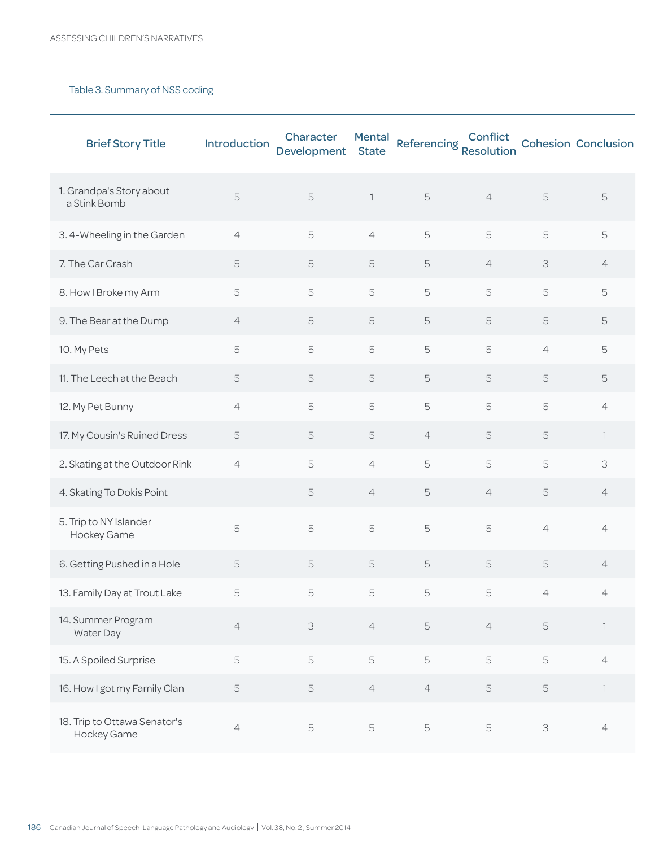# Table 3. Summary of NSS coding

| <b>Brief Story Title</b>                    | Introduction   | Character<br><b>Development</b> | <b>Mental</b><br><b>State</b> | Referencing<br>Resolution | Conflict       |                | <b>Cohesion Conclusion</b> |
|---------------------------------------------|----------------|---------------------------------|-------------------------------|---------------------------|----------------|----------------|----------------------------|
| 1. Grandpa's Story about<br>a Stink Bomb    | 5              | 5                               | $\overline{1}$                | 5                         | $\overline{4}$ | 5              | 5                          |
| 3.4-Wheeling in the Garden                  | $\overline{4}$ | 5                               | $\overline{4}$                | 5                         | 5              | 5              | 5                          |
| 7. The Car Crash                            | 5              | 5                               | 5                             | 5                         | $\overline{4}$ | 3              | $\overline{4}$             |
| 8. How I Broke my Arm                       | 5              | 5                               | 5                             | 5                         | 5              | 5              | 5                          |
| 9. The Bear at the Dump                     | $\overline{4}$ | 5                               | 5                             | 5                         | 5              | 5              | 5                          |
| 10. My Pets                                 | 5              | 5                               | 5                             | 5                         | 5              | $\overline{4}$ | 5                          |
| 11. The Leech at the Beach                  | 5              | 5                               | 5                             | 5                         | 5              | 5              | 5                          |
| 12. My Pet Bunny                            | $\overline{4}$ | 5                               | 5                             | 5                         | 5              | 5              | $\overline{4}$             |
| 17. My Cousin's Ruined Dress                | 5              | 5                               | 5                             | $\overline{4}$            | 5              | 5              | $\overline{1}$             |
| 2. Skating at the Outdoor Rink              | $\overline{4}$ | 5                               | $\overline{4}$                | 5                         | 5              | 5              | 3                          |
| 4. Skating To Dokis Point                   |                | 5                               | $\overline{4}$                | 5                         | $\overline{4}$ | 5              | $\overline{4}$             |
| 5. Trip to NY Islander<br>Hockey Game       | 5              | 5                               | 5                             | 5                         | 5              | $\overline{4}$ | 4                          |
| 6. Getting Pushed in a Hole                 | 5              | 5                               | 5                             | 5                         | 5              | 5              | $\overline{4}$             |
| 13. Family Day at Trout Lake                | 5              | 5                               | 5                             | 5                         | 5              | $\overline{4}$ | 4                          |
| 14. Summer Program<br>Water Day             | $\overline{4}$ | 3                               | $\overline{4}$                | 5                         | $\overline{4}$ | 5              | $\overline{\phantom{a}}$   |
| 15. A Spoiled Surprise                      | 5              | 5                               | 5                             | 5                         | 5              | 5              | $\overline{4}$             |
| 16. How I got my Family Clan                | 5              | 5                               | $\overline{4}$                | $\overline{4}$            | 5              | 5              | 1                          |
| 18. Trip to Ottawa Senator's<br>Hockey Game | $\sqrt{4}$     | 5                               | 5                             | 5                         | $\mathsf S$    | $\mathsf S$    | $\sqrt{4}$                 |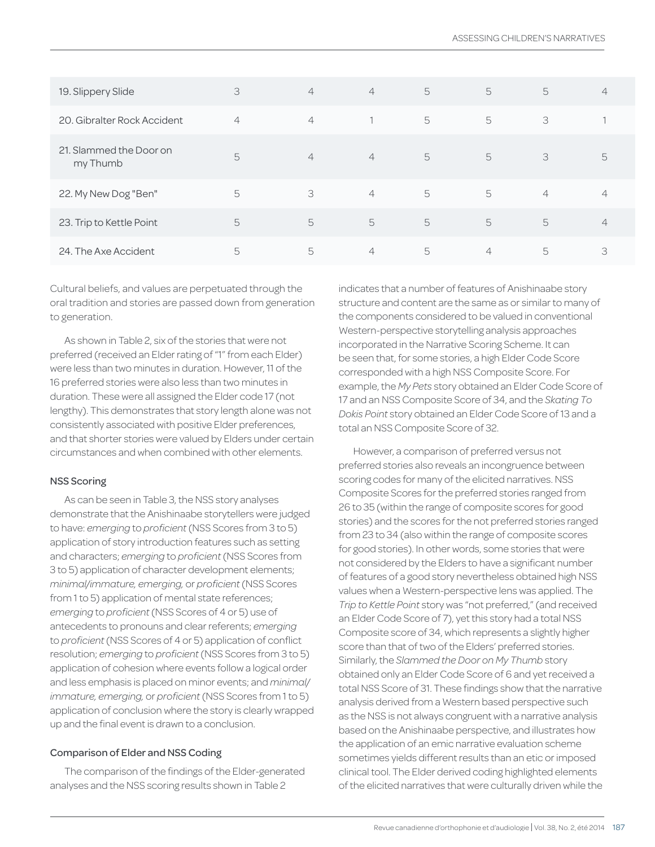| 19. Slippery Slide                  | 3              | $\overline{4}$ | $\overline{4}$ | 5 | 5              | 5              | $\overline{4}$ |
|-------------------------------------|----------------|----------------|----------------|---|----------------|----------------|----------------|
| 20. Gibralter Rock Accident         | $\overline{4}$ | $\overline{4}$ |                | 5 | 5              | 3              |                |
| 21. Slammed the Door on<br>my Thumb | 5              | $\overline{4}$ | $\overline{4}$ | 5 | 5              | 3              | $\mathcal{L}$  |
| 22. My New Dog "Ben"                | 5              | 3              | $\overline{4}$ | 5 | 5              | $\overline{4}$ | 4              |
| 23. Trip to Kettle Point            | 5              | 5              | 5              | 5 | 5              | 5              | $\overline{4}$ |
| 24. The Axe Accident                | 5              | 5              | $\overline{4}$ | 5 | $\overline{4}$ | 5              | З              |

Cultural beliefs, and values are perpetuated through the oral tradition and stories are passed down from generation to generation.

As shown in Table 2, six of the stories that were not preferred (received an Elder rating of "1" from each Elder) were less than two minutes in duration. However, 11 of the 16 preferred stories were also less than two minutes in duration. These were all assigned the Elder code 17 (not lengthy). This demonstrates that story length alone was not consistently associated with positive Elder preferences, and that shorter stories were valued by Elders under certain circumstances and when combined with other elements.

### NSS Scoring

As can be seen in Table 3, the NSS story analyses demonstrate that the Anishinaabe storytellers were judged to have: *emerging* to *proficient* (NSS Scores from 3 to 5) application of story introduction features such as setting and characters; *emerging* to *proficient* (NSS Scores from 3 to 5) application of character development elements; *minimal/immature, emerging,* or *proficient* (NSS Scores from 1 to 5) application of mental state references; *emerging* to *proficient* (NSS Scores of 4 or 5) use of antecedents to pronouns and clear referents; *emerging*  to *proficient* (NSS Scores of 4 or 5) application of conflict resolution; *emerging* to *proficient* (NSS Scores from 3 to 5) application of cohesion where events follow a logical order and less emphasis is placed on minor events; and *minimal/ immature, emerging,* or *proficient* (NSS Scores from 1 to 5) application of conclusion where the story is clearly wrapped up and the final event is drawn to a conclusion.

## Comparison of Elder and NSS Coding

The comparison of the findings of the Elder-generated analyses and the NSS scoring results shown in Table 2

indicates that a number of features of Anishinaabe story structure and content are the same as or similar to many of the components considered to be valued in conventional Western-perspective storytelling analysis approaches incorporated in the Narrative Scoring Scheme. It can be seen that, for some stories, a high Elder Code Score corresponded with a high NSS Composite Score. For example, the *My Pets* story obtained an Elder Code Score of 17 and an NSS Composite Score of 34, and the *Skating To Dokis Point* story obtained an Elder Code Score of 13 and a total an NSS Composite Score of 32.

However, a comparison of preferred versus not preferred stories also reveals an incongruence between scoring codes for many of the elicited narratives. NSS Composite Scores for the preferred stories ranged from 26 to 35 (within the range of composite scores for good stories) and the scores for the not preferred stories ranged from 23 to 34 (also within the range of composite scores for good stories). In other words, some stories that were not considered by the Elders to have a significant number of features of a good story nevertheless obtained high NSS values when a Western-perspective lens was applied. The *Trip to Kettle Point* story was "not preferred," (and received an Elder Code Score of 7), yet this story had a total NSS Composite score of 34, which represents a slightly higher score than that of two of the Elders' preferred stories. Similarly, the *Slammed the Door on My Thumb* story obtained only an Elder Code Score of 6 and yet received a total NSS Score of 31. These findings show that the narrative analysis derived from a Western based perspective such as the NSS is not always congruent with a narrative analysis based on the Anishinaabe perspective, and illustrates how the application of an emic narrative evaluation scheme sometimes yields different results than an etic or imposed clinical tool. The Elder derived coding highlighted elements of the elicited narratives that were culturally driven while the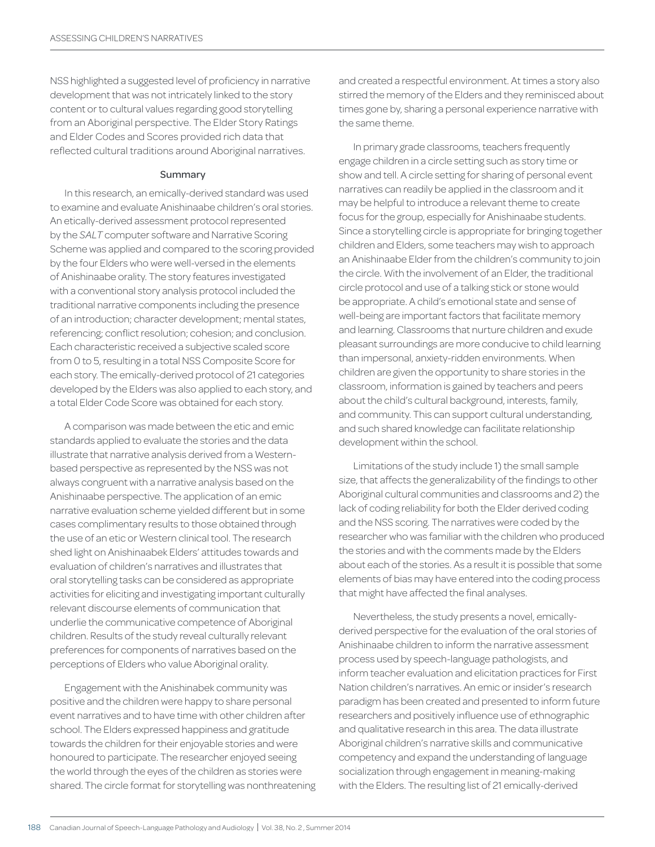NSS highlighted a suggested level of proficiency in narrative development that was not intricately linked to the story content or to cultural values regarding good storytelling from an Aboriginal perspective. The Elder Story Ratings and Elder Codes and Scores provided rich data that reflected cultural traditions around Aboriginal narratives.

#### Summary

In this research, an emically-derived standard was used to examine and evaluate Anishinaabe children's oral stories. An etically-derived assessment protocol represented by the *SALT* computer software and Narrative Scoring Scheme was applied and compared to the scoring provided by the four Elders who were well-versed in the elements of Anishinaabe orality. The story features investigated with a conventional story analysis protocol included the traditional narrative components including the presence of an introduction; character development; mental states, referencing; conflict resolution; cohesion; and conclusion. Each characteristic received a subjective scaled score from 0 to 5, resulting in a total NSS Composite Score for each story. The emically-derived protocol of 21 categories developed by the Elders was also applied to each story, and a total Elder Code Score was obtained for each story.

A comparison was made between the etic and emic standards applied to evaluate the stories and the data illustrate that narrative analysis derived from a Westernbased perspective as represented by the NSS was not always congruent with a narrative analysis based on the Anishinaabe perspective. The application of an emic narrative evaluation scheme yielded different but in some cases complimentary results to those obtained through the use of an etic or Western clinical tool. The research shed light on Anishinaabek Elders' attitudes towards and evaluation of children's narratives and illustrates that oral storytelling tasks can be considered as appropriate activities for eliciting and investigating important culturally relevant discourse elements of communication that underlie the communicative competence of Aboriginal children. Results of the study reveal culturally relevant preferences for components of narratives based on the perceptions of Elders who value Aboriginal orality.

Engagement with the Anishinabek community was positive and the children were happy to share personal event narratives and to have time with other children after school. The Elders expressed happiness and gratitude towards the children for their enjoyable stories and were honoured to participate. The researcher enjoyed seeing the world through the eyes of the children as stories were shared. The circle format for storytelling was nonthreatening and created a respectful environment. At times a story also stirred the memory of the Elders and they reminisced about times gone by, sharing a personal experience narrative with the same theme.

In primary grade classrooms, teachers frequently engage children in a circle setting such as story time or show and tell. A circle setting for sharing of personal event narratives can readily be applied in the classroom and it may be helpful to introduce a relevant theme to create focus for the group, especially for Anishinaabe students. Since a storytelling circle is appropriate for bringing together children and Elders, some teachers may wish to approach an Anishinaabe Elder from the children's community to join the circle. With the involvement of an Elder, the traditional circle protocol and use of a talking stick or stone would be appropriate. A child's emotional state and sense of well-being are important factors that facilitate memory and learning. Classrooms that nurture children and exude pleasant surroundings are more conducive to child learning than impersonal, anxiety-ridden environments. When children are given the opportunity to share stories in the classroom, information is gained by teachers and peers about the child's cultural background, interests, family, and community. This can support cultural understanding, and such shared knowledge can facilitate relationship development within the school.

Limitations of the study include 1) the small sample size, that affects the generalizability of the findings to other Aboriginal cultural communities and classrooms and 2) the lack of coding reliability for both the Elder derived coding and the NSS scoring. The narratives were coded by the researcher who was familiar with the children who produced the stories and with the comments made by the Elders about each of the stories. As a result it is possible that some elements of bias may have entered into the coding process that might have affected the final analyses.

Nevertheless, the study presents a novel, emicallyderived perspective for the evaluation of the oral stories of Anishinaabe children to inform the narrative assessment process used by speech-language pathologists, and inform teacher evaluation and elicitation practices for First Nation children's narratives. An emic or insider's research paradigm has been created and presented to inform future researchers and positively influence use of ethnographic and qualitative research in this area. The data illustrate Aboriginal children's narrative skills and communicative competency and expand the understanding of language socialization through engagement in meaning-making with the Elders. The resulting list of 21 emically-derived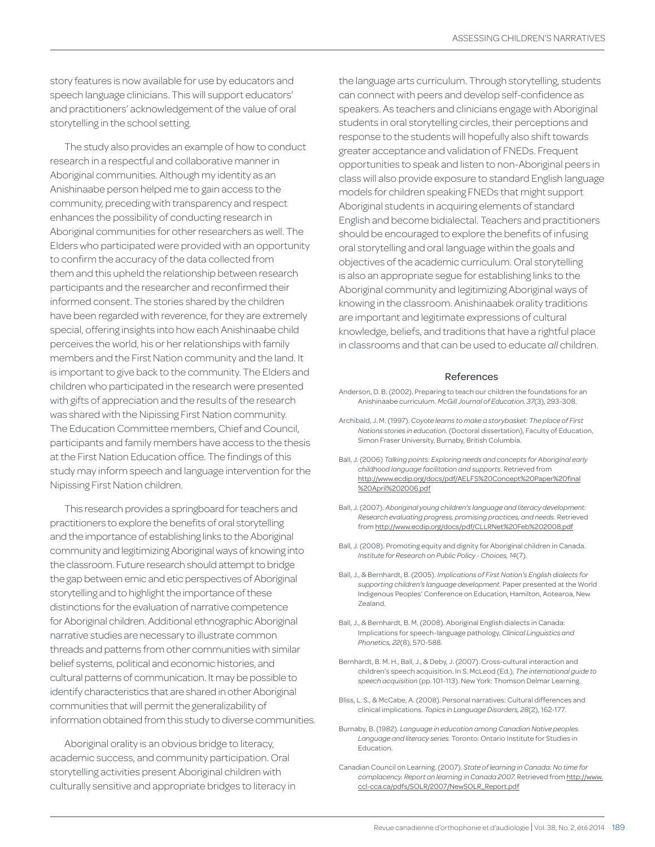story features is now available for use by educators and speech language clinicians. This will support educators' and practitioners' acknowledgement of the value of oral storytelling in the school setting.

The study also provides an example of how to conduct research in a respectful and collaborative manner in Aboriginal communities. Although my identity as an Anishinaabe person helped me to gain access to the community, preceding with transparency and respect enhances the possibility of conducting research in Aboriginal communities for other researchers as well. The Elders who participated were provided with an opportunity to confirm the accuracy of the data collected from them and this upheld the relationship between research participants and the researcher and reconfirmed their informed consent. The stories shared by the children have been regarded with reverence, for they are extremely special, offering insights into how each Anishinaabe child perceives the world, his or her relationships with family members and the First Nation community and the land. It is important to give back to the community. The Elders and children who participated in the research were presented with gifts of appreciation and the results of the research was shared with the Nipissing First Nation community. The Education Committee members, Chief and Council, participants and family members have access to the thesis at the First Nation Education office. The findings of this study may inform speech and language intervention for the Nipissing First Nation children.

This research provides a springboard for teachers and practitioners to explore the benefits of oral storytelling and the importance of establishing links to the Aboriginal community and legitimizing Aboriginal ways of knowing into the classroom. Future research should attempt to bridge the gap between emic and etic perspectives of Aboriginal storytelling and to highlight the importance of these distinctions for the evaluation of narrative competence for Aboriginal children. Additional ethnographic Aboriginal narrative studies are necessary to illustrate common threads and patterns from other communities with similar belief systems, political and economic histories, and cultural patterns of communication. It may be possible to identify characteristics that are shared in other Aboriginal communities that will permit the generalizability of information obtained from this study to diverse communities.

Aboriginal orality is an obvious bridge to literacy, academic success, and community participation. Oral storytelling activities present Aboriginal children with culturally sensitive and appropriate bridges to literacy in

the language arts curriculum. Through storytelling, students can connect with peers and develop self-confidence as speakers. As teachers and clinicians engage with Aboriginal students in oral storytelling circles, their perceptions and response to the students will hopefully also shift towards greater acceptance and validation of FNEDs. Frequent opportunities to speak and listen to non-Aboriginal peers in class will also provide exposure to standard English language models for children speaking FNEDs that might support Aboriginal students in acquiring elements of standard English and become bidialectal. Teachers and practitioners should be encouraged to explore the benefits of infusing oral storytelling and oral language within the goals and objectives of the academic curriculum. Oral storytelling is also an appropriate segue for establishing links to the Aboriginal community and legitimizing Aboriginal ways of knowing in the classroom. Anishinaabek orality traditions are important and legitimate expressions of cultural knowledge, beliefs, and traditions that have a rightful place in classrooms and that can be used to educate *all* children.

#### References

- Anderson, D. B. (2002). Preparing to teach our children the foundations for an Anishinaabe curriculum. *McGill Journal of Education. 37*(3), 293-308.
- Archibald, J. M. (1997). *Coyote learns to make a storybasket: The place of First Nations stories in education.* (Doctoral dissertation), Faculty of Education, Simon Fraser University, Burnaby, British Columbia.
- Ball, J. (2006) *Talking points: Exploring needs and concepts for Aboriginal early childhood language facilitation and supports*. Retrieved from http://www.ecdip.org/docs/pdf/AELFS%20Concept%20Paper%20final %20April%202006.pdf
- Ball, J. (2007). *Aboriginal young children's language and literacy development: Research evaluating progress, promising practices, and needs*. Retrieved from http://www.ecdip.org/docs/pdf/CLLRNet%20Feb%202008.pdf
- Ball, J. (2008). Promoting equity and dignity for Aboriginal children in Canada. *Institute for Research on Public Policy - Choices, 14*(7).
- Ball, J., & Bernhardt, B. (2005). *Implications of First Nation's English dialects for supporting children's language development.* Paper presented at the World Indigenous Peoples' Conference on Education, Hamilton, Aotearoa, New Zealand.
- Ball, J., & Bernhardt, B. M. (2008). Aboriginal English dialects in Canada: Implications for speech-language pathology. *Clinical Linguistics and Phonetics, 22*(8), 570-588.
- Bernhardt, B. M. H., Ball, J., & Deby, J. (2007). Cross-cultural interaction and children's speech acquisition. In S. McLeod (Ed.), *The international guide to speech acquisition* (pp. 101-113). New York: Thomson Delmar Learning.
- Bliss, L. S., & McCabe, A. (2008). Personal narratives: Cultural differences and clinical implications. *Topics in Language Disorders, 28*(2), 162-177.
- Burnaby, B. (1982). *Language in education among Canadian Native peoples. Language and literacy series.* Toronto: Ontario Institute for Studies in Education.
- Canadian Council on Learning. (2007). *State of learning in Canada: No time for complacency. Report on learning in Canada 2007.* Retrieved from http://www. ccl-cca.ca/pdfs/SOLR/2007/NewSOLR\_Report.pdf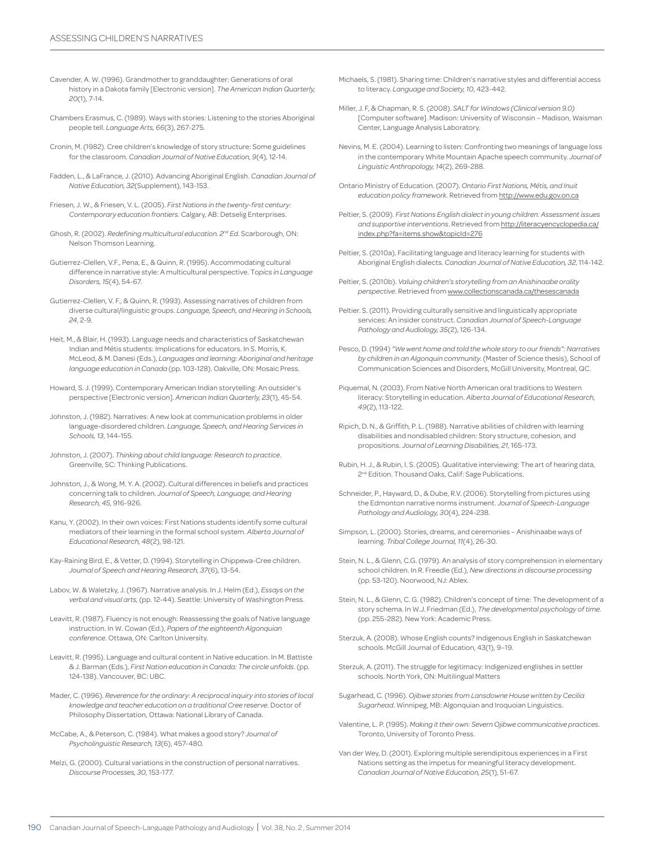- Cavender, A. W. (1996). Grandmother to granddaughter: Generations of oral history in a Dakota family [Electronic version]. *The American Indian Quarterly, 20*(1), 7-14.
- Chambers Erasmus, C. (1989). Ways with stories: Listening to the stories Aboriginal people tell. *Language Arts, 66*(3), 267-275.
- Cronin, M. (1982). Cree children's knowledge of story structure: Some guidelines for the classroom. *Canadian Journal of Native Education, 9*(4), 12-14.
- Fadden, L., & LaFrance, J. (2010). Advancing Aboriginal English. *Canadian Journal of Native Education, 32*(Supplement), 143-153.
- Friesen, J. W., & Friesen, V. L. (2005). *First Nations in the twenty-first century: Contemporary education frontiers*. Calgary, AB: Detselig Enterprises.
- Ghosh, R. (2002). *Redefining multicultural education. 2nd Ed*. Scarborough, ON: Nelson Thomson Learning.
- Gutierrez-Clellen, V.F., Pena, E., & Quinn, R. (1995). Accommodating cultural difference in narrative style: A multicultural perspective. T*opics in Language Disorders, 15*(4), 54-67.
- Gutierrez-Clellen, V. F., & Quinn, R. (1993). Assessing narratives of children from diverse cultural/linguistic groups. *Language, Speech, and Hearing in Schools, 24*, 2-9.
- Heit, M., & Blair, H. (1993). Language needs and characteristics of Saskatchewan Indian and Métis students: Implications for educators. In S. Morris, K. McLeod, & M. Danesi (Eds.), *Languages and learning: Aboriginal and heritage language education in Canada* (pp. 103-128). Oakville, ON: Mosaic Press.
- Howard, S. J. (1999). Contemporary American Indian storytelling: An outsider's perspective [Electronic version]. *American Indian Quarterly, 23*(1), 45-54.
- Johnston, J. (1982). Narratives: A new look at communication problems in older language-disordered children. *Language, Speech, and Hearing Services in Schools, 13*, 144-155.
- Johnston, J. (2007). *Thinking about child language: Research to practice*. Greenville, SC: Thinking Publications.
- Johnston, J., & Wong, M. Y. A. (2002). Cultural differences in beliefs and practices concerning talk to children. *Journal of Speech, Language, and Hearing Research, 45*, 916-926.
- Kanu, Y. (2002). In their own voices: First Nations students identify some cultural mediators of their learning in the formal school system. *Alberta Journal of Educational Research, 48*(2), 98-121.
- Kay-Raining Bird, E., & Vetter, D. (1994). Storytelling in Chippewa-Cree children. *Journal of Speech and Hearing Research, 37*(6), 13-54.
- Labov, W. & Waletzky, J. (1967). Narrative analysis. In J. Helm (Ed.), *Essays on the verbal and visual arts,* (pp. 12-44). Seattle: University of Washington Press.
- Leavitt, R. (1987). Fluency is not enough: Reassessing the goals of Native language instruction. In W. Cowan (Ed.), *Papers of the eighteenth Algonquian conference*. Ottawa, ON: Carlton University.
- Leavitt, R. (1995). Language and cultural content in Native education. In M. Battiste & J. Barman (Eds.), *First Nation education in Canada: The circle unfolds*. (pp. 124-138). Vancouver, BC: UBC.
- Mader, C. (1996). *Reverence for the ordinary: A reciprocal inquiry into stories of local knowledge and teacher education on a traditional Cree reserve*. Doctor of Philosophy Dissertation, Ottawa: National Library of Canada.
- McCabe, A., & Peterson, C. (1984). What makes a good story? *Journal of Psycholinguistic Research, 13*(6), 457-480.
- Melzi, G. (2000). Cultural variations in the construction of personal narratives. *Discourse Processes, 30*, 153-177.
- Michaels, S. (1981). Sharing time: Children's narrative styles and differential access to literacy. *Language and Society, 10*, 423-442.
- Miller, J. F, & Chapman, R. S. (2008). *SALT for Windows (Clinical version 9.0)*  [Computer software]. Madison: University of Wisconsin – Madison, Waisman Center, Language Analysis Laboratory.
- Nevins, M. E. (2004). Learning to listen: Confronting two meanings of language loss in the contemporary White Mountain Apache speech community. *Journal of Linguistic Anthropology, 14*(2), 269-288.
- Ontario Ministry of Education. (2007). *Ontario First Nations, Métis, and Inuit education policy framework*. Retrieved from http://www.edu.gov.on.ca
- Peltier, S. (2009). *First Nations English dialect in young children: Assessment issues and supportive interventions*. Retrieved from http://literacyencyclopedia.ca/ index.php?fa=items.show&topicId=276
- Peltier, S. (2010a). Facilitating language and literacy learning for students with Aboriginal English dialects. *Canadian Journal of Native Education, 32*, 114-142.
- Peltier, S. (2010b). *Valuing children's storytelling from an Anishinaabe orality perspective*. Retrieved from www.collectionscanada.ca/thesescanada
- Peltier. S. (2011). Providing culturally sensitive and linguistically appropriate services: An insider construct. *Canadian Journal of Speech-Language Pathology and Audiology, 35*(2), 126-134.
- Pesco, D. (1994) *"We went home and told the whole story to our friends": Narratives by children in an Algonquin community.* (Master of Science thesis), School of Communication Sciences and Disorders, McGill University, Montreal, QC.
- Piquemal, N. (2003). From Native North American oral traditions to Western literacy: Storytelling in education. *Alberta Journal of Educational Research, 49*(2), 113-122.
- Ripich, D. N., & Griffith, P. L. (1988). Narrative abilities of children with learning disabilities and nondisabled children: Story structure, cohesion, and propositions. *Journal of Learning Disabilities, 21*, 165-173.
- Rubin, H. J., & Rubin, I. S. (2005). Qualitative interviewing: The art of hearing data, 2<sup>nd</sup> Edition. Thousand Oaks, Calif: Sage Publications.
- Schneider, P., Hayward, D., & Dube, R.V. (2006). Storytelling from pictures using the Edmonton narrative norms instrument. *Journal of Speech-Language Pathology and Audiology, 30*(4), 224-238.
- Simpson, L. (2000). Stories, dreams, and ceremonies Anishinaabe ways of learning. *Tribal College Journal, 11*(4), 26-30.
- Stein, N. L., & Glenn, C.G. (1979). An analysis of story comprehension in elementary school children. In R. Freedle (Ed.), *New directions in discourse processing* (pp. 53-120). Noorwood, NJ: Ablex.
- Stein, N. L., & Glenn, C. G. (1982). Children's concept of time: The development of a story schema. In W.J. Friedman (Ed.), *The developmental psychology of time.* (pp. 255-282). New York: Academic Press.
- Sterzuk, A. (2008). Whose English counts? Indigenous English in Saskatchewan schools. McGill Journal of Education, 43(1), 9–19.
- Sterzuk, A. (2011). The struggle for legitimacy: Indigenized englishes in settler schools. North York, ON: Multilingual Matters
- Sugarhead, C. (1996). *Ojibwe stories from Lansdowne House written by Cecilia Sugarhead*. Winnipeg, MB: Algonquian and Iroquoian Linguistics.
- Valentine, L. P. (1995). *Making it their own: Severn Ojibwe communicative practices*. Toronto, University of Toronto Press.
- Van der Wey, D. (2001). Exploring multiple serendipitous experiences in a First Nations setting as the impetus for meaningful literacy development. *Canadian Journal of Native Education, 25*(1), 51-67.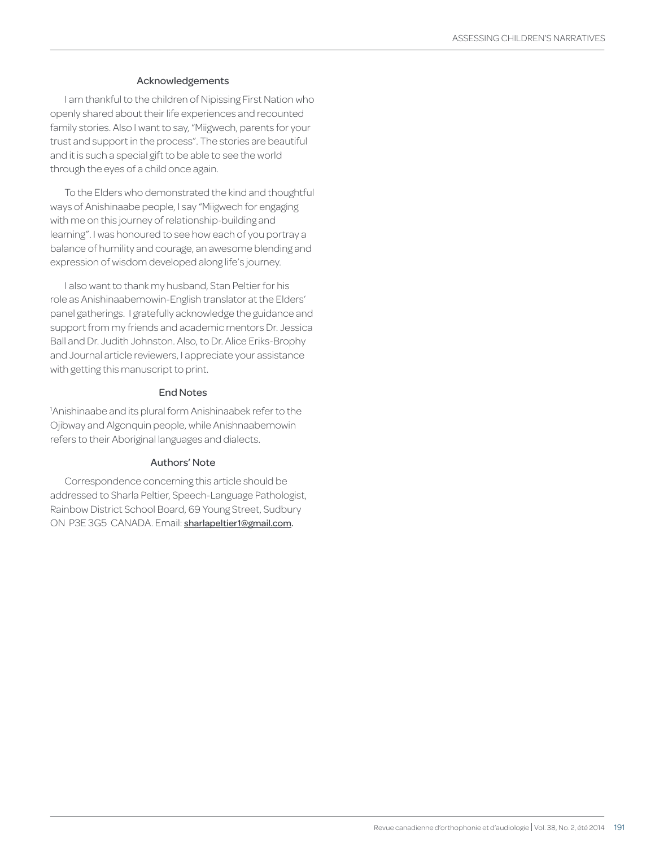#### Acknowledgements

I am thankful to the children of Nipissing First Nation who openly shared about their life experiences and recounted family stories. Also I want to say, "Miigwech, parents for your trust and support in the process". The stories are beautiful and it is such a special gift to be able to see the world through the eyes of a child once again.

To the Elders who demonstrated the kind and thoughtful ways of Anishinaabe people, I say "Miigwech for engaging with me on this journey of relationship-building and learning". I was honoured to see how each of you portray a balance of humility and courage, an awesome blending and expression of wisdom developed along life's journey.

I also want to thank my husband, Stan Peltier for his role as Anishinaabemowin-English translator at the Elders' panel gatherings. I gratefully acknowledge the guidance and support from my friends and academic mentors Dr. Jessica Ball and Dr. Judith Johnston. Also, to Dr. Alice Eriks-Brophy and Journal article reviewers, I appreciate your assistance with getting this manuscript to print.

#### End Notes

1 Anishinaabe and its plural form Anishinaabek refer to the Ojibway and Algonquin people, while Anishnaabemowin refers to their Aboriginal languages and dialects.

#### Authors' Note

Correspondence concerning this article should be addressed to Sharla Peltier, Speech-Language Pathologist, Rainbow District School Board, 69 Young Street, Sudbury ON P3E 3G5 CANADA. Email: sharlapeltier1@gmail.com.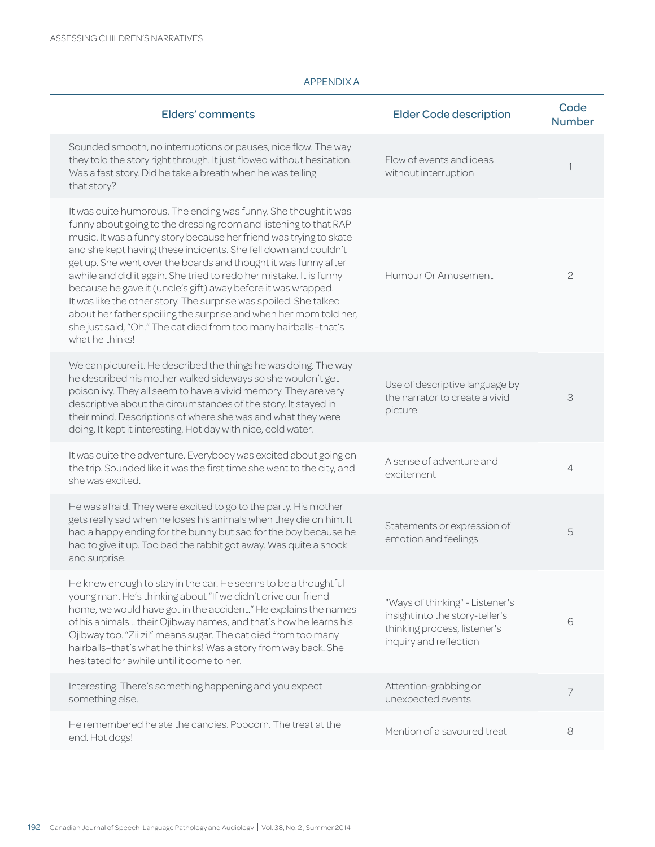## APPENDIX A

| <b>Elders' comments</b>                                                                                                                                                                                                                                                                                                                                                                                                                                                                                                                                                                                                                                                                                                  | <b>Elder Code description</b>                                                                                                | Code<br><b>Number</b> |
|--------------------------------------------------------------------------------------------------------------------------------------------------------------------------------------------------------------------------------------------------------------------------------------------------------------------------------------------------------------------------------------------------------------------------------------------------------------------------------------------------------------------------------------------------------------------------------------------------------------------------------------------------------------------------------------------------------------------------|------------------------------------------------------------------------------------------------------------------------------|-----------------------|
| Sounded smooth, no interruptions or pauses, nice flow. The way<br>they told the story right through. It just flowed without hesitation.<br>Was a fast story. Did he take a breath when he was telling<br>that story?                                                                                                                                                                                                                                                                                                                                                                                                                                                                                                     | Flow of events and ideas<br>without interruption                                                                             | 1                     |
| It was quite humorous. The ending was funny. She thought it was<br>funny about going to the dressing room and listening to that RAP<br>music. It was a funny story because her friend was trying to skate<br>and she kept having these incidents. She fell down and couldn't<br>get up. She went over the boards and thought it was funny after<br>awhile and did it again. She tried to redo her mistake. It is funny<br>because he gave it (uncle's gift) away before it was wrapped.<br>It was like the other story. The surprise was spoiled. She talked<br>about her father spoiling the surprise and when her mom told her,<br>she just said, "Oh." The cat died from too many hairballs-that's<br>what he thinks! | Humour Or Amusement.                                                                                                         | $\mathfrak{C}$        |
| We can picture it. He described the things he was doing. The way<br>he described his mother walked sideways so she wouldn't get<br>poison ivy. They all seem to have a vivid memory. They are very<br>descriptive about the circumstances of the story. It stayed in<br>their mind. Descriptions of where she was and what they were<br>doing. It kept it interesting. Hot day with nice, cold water.                                                                                                                                                                                                                                                                                                                    | Use of descriptive language by<br>the narrator to create a vivid<br>picture                                                  | 3                     |
| It was quite the adventure. Everybody was excited about going on<br>the trip. Sounded like it was the first time she went to the city, and<br>she was excited.                                                                                                                                                                                                                                                                                                                                                                                                                                                                                                                                                           | A sense of adventure and<br>excitement                                                                                       | $\overline{4}$        |
| He was afraid. They were excited to go to the party. His mother<br>gets really sad when he loses his animals when they die on him. It<br>had a happy ending for the bunny but sad for the boy because he<br>had to give it up. Too bad the rabbit got away. Was quite a shock<br>and surprise.                                                                                                                                                                                                                                                                                                                                                                                                                           | Statements or expression of<br>emotion and feelings                                                                          | 5                     |
| He knew enough to stay in the car. He seems to be a thoughtful<br>young man. He's thinking about "If we didn't drive our friend<br>home, we would have got in the accident." He explains the names<br>of his animals their Ojibway names, and that's how he learns his<br>Ojibway too. "Zii zii" means sugar. The cat died from too many<br>hairballs-that's what he thinks! Was a story from way back. She<br>hesitated for awhile until it come to her.                                                                                                                                                                                                                                                                | "Ways of thinking" - Listener's<br>insight into the story-teller's<br>thinking process, listener's<br>inquiry and reflection | 6                     |
| Interesting. There's something happening and you expect<br>something else.                                                                                                                                                                                                                                                                                                                                                                                                                                                                                                                                                                                                                                               | Attention-grabbing or<br>unexpected events                                                                                   | 7                     |
| He remembered he ate the candies. Popcorn. The treat at the<br>end. Hot dogs!                                                                                                                                                                                                                                                                                                                                                                                                                                                                                                                                                                                                                                            | Mention of a savoured treat                                                                                                  | 8                     |